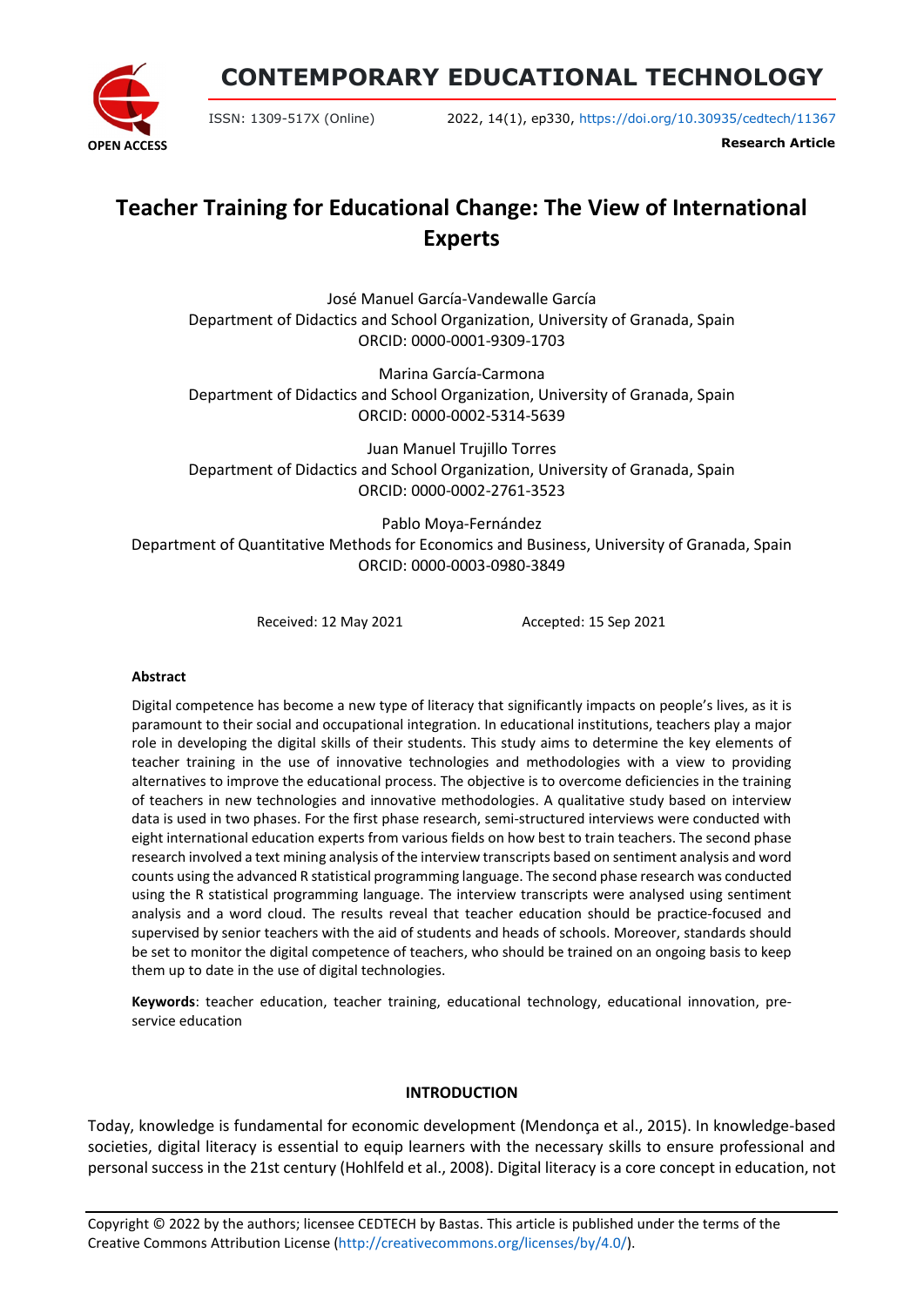**OPEN ACCESS**

**CONTEMPORARY EDUCATIONAL TECHNOLOGY**

ISSN: 1309-517X (Online) 2022, 14(1), ep330, <https://doi.org/10.30935/cedtech/11367>

**Research Article**

# **Teacher Training for Educational Change: The View of International Experts**

José Manuel García-Vandewalle García Department of Didactics and School Organization, University of Granada, Spain ORCID: 0000-0001-9309-1703

Marina García-Carmona Department of Didactics and School Organization, University of Granada, Spain ORCID: 0000-0002-5314-5639

Juan Manuel Trujillo Torres Department of Didactics and School Organization, University of Granada, Spain ORCID: 0000-0002-2761-3523

Pablo Moya-Fernández Department of Quantitative Methods for Economics and Business, University of Granada, Spain ORCID: 0000-0003-0980-3849

Received: 12 May 2021 Accepted: 15 Sep 2021

#### **Abstract**

Digital competence has become a new type of literacy that significantly impacts on people's lives, as it is paramount to their social and occupational integration. In educational institutions, teachers play a major role in developing the digital skills of their students. This study aims to determine the key elements of teacher training in the use of innovative technologies and methodologies with a view to providing alternatives to improve the educational process. The objective is to overcome deficiencies in the training of teachers in new technologies and innovative methodologies. A qualitative study based on interview data is used in two phases. For the first phase research, semi-structured interviews were conducted with eight international education experts from various fields on how best to train teachers. The second phase research involved a text mining analysis of the interview transcripts based on sentiment analysis and word counts using the advanced R statistical programming language. The second phase research was conducted using the R statistical programming language. The interview transcripts were analysed using sentiment analysis and a word cloud. The results reveal that teacher education should be practice-focused and supervised by senior teachers with the aid of students and heads of schools. Moreover, standards should be set to monitor the digital competence of teachers, who should be trained on an ongoing basis to keep them up to date in the use of digital technologies.

**Keywords**: teacher education, teacher training, educational technology, educational innovation, preservice education

#### **INTRODUCTION**

Today, knowledge is fundamental for economic development (Mendonça et al., 2015). In knowledge-based societies, digital literacy is essential to equip learners with the necessary skills to ensure professional and personal success in the 21st century (Hohlfeld et al., 2008). Digital literacy is a core concept in education, not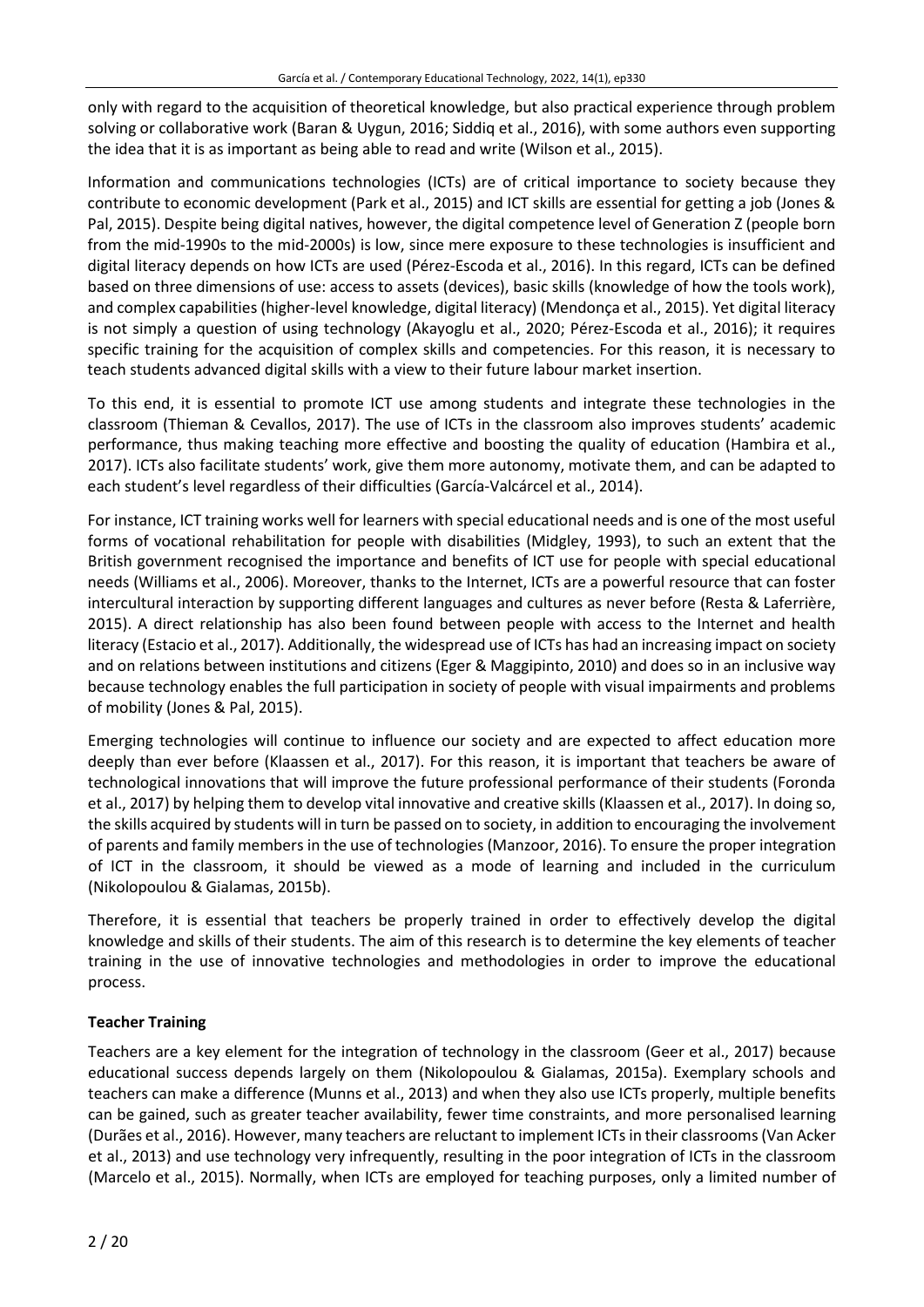only with regard to the acquisition of theoretical knowledge, but also practical experience through problem solving or collaborative work (Baran & Uygun, 2016; Siddiq et al., 2016), with some authors even supporting the idea that it is as important as being able to read and write (Wilson et al., 2015).

Information and communications technologies (ICTs) are of critical importance to society because they contribute to economic development (Park et al., 2015) and ICT skills are essential for getting a job (Jones & Pal, 2015). Despite being digital natives, however, the digital competence level of Generation Z (people born from the mid-1990s to the mid-2000s) is low, since mere exposure to these technologies is insufficient and digital literacy depends on how ICTs are used (Pérez-Escoda et al., 2016). In this regard, ICTs can be defined based on three dimensions of use: access to assets (devices), basic skills (knowledge of how the tools work), and complex capabilities (higher-level knowledge, digital literacy) (Mendonça et al., 2015). Yet digital literacy is not simply a question of using technology (Akayoglu et al., 2020; Pérez-Escoda et al., 2016); it requires specific training for the acquisition of complex skills and competencies. For this reason, it is necessary to teach students advanced digital skills with a view to their future labour market insertion.

To this end, it is essential to promote ICT use among students and integrate these technologies in the classroom (Thieman & Cevallos, 2017). The use of ICTs in the classroom also improves students' academic performance, thus making teaching more effective and boosting the quality of education (Hambira et al., 2017). ICTs also facilitate students' work, give them more autonomy, motivate them, and can be adapted to each student's level regardless of their difficulties (García-Valcárcel et al., 2014).

For instance, ICT training works well for learners with special educational needs and is one of the most useful forms of vocational rehabilitation for people with disabilities (Midgley, 1993), to such an extent that the British government recognised the importance and benefits of ICT use for people with special educational needs (Williams et al., 2006). Moreover, thanks to the Internet, ICTs are a powerful resource that can foster intercultural interaction by supporting different languages and cultures as never before (Resta & Laferrière, 2015). A direct relationship has also been found between people with access to the Internet and health literacy (Estacio et al., 2017). Additionally, the widespread use of ICTs has had an increasing impact on society and on relations between institutions and citizens (Eger & Maggipinto, 2010) and does so in an inclusive way because technology enables the full participation in society of people with visual impairments and problems of mobility (Jones & Pal, 2015).

Emerging technologies will continue to influence our society and are expected to affect education more deeply than ever before (Klaassen et al., 2017). For this reason, it is important that teachers be aware of technological innovations that will improve the future professional performance of their students (Foronda et al., 2017) by helping them to develop vital innovative and creative skills (Klaassen et al., 2017). In doing so, the skills acquired by students will in turn be passed on to society, in addition to encouraging the involvement of parents and family members in the use of technologies (Manzoor, 2016). To ensure the proper integration of ICT in the classroom, it should be viewed as a mode of learning and included in the curriculum (Nikolopoulou & Gialamas, 2015b).

Therefore, it is essential that teachers be properly trained in order to effectively develop the digital knowledge and skills of their students. The aim of this research is to determine the key elements of teacher training in the use of innovative technologies and methodologies in order to improve the educational process.

# **Teacher Training**

Teachers are a key element for the integration of technology in the classroom (Geer et al., 2017) because educational success depends largely on them (Nikolopoulou & Gialamas, 2015a). Exemplary schools and teachers can make a difference (Munns et al., 2013) and when they also use ICTs properly, multiple benefits can be gained, such as greater teacher availability, fewer time constraints, and more personalised learning (Durães et al., 2016). However, many teachers are reluctant to implement ICTsin their classrooms(Van Acker et al., 2013) and use technology very infrequently, resulting in the poor integration of ICTs in the classroom (Marcelo et al., 2015). Normally, when ICTs are employed for teaching purposes, only a limited number of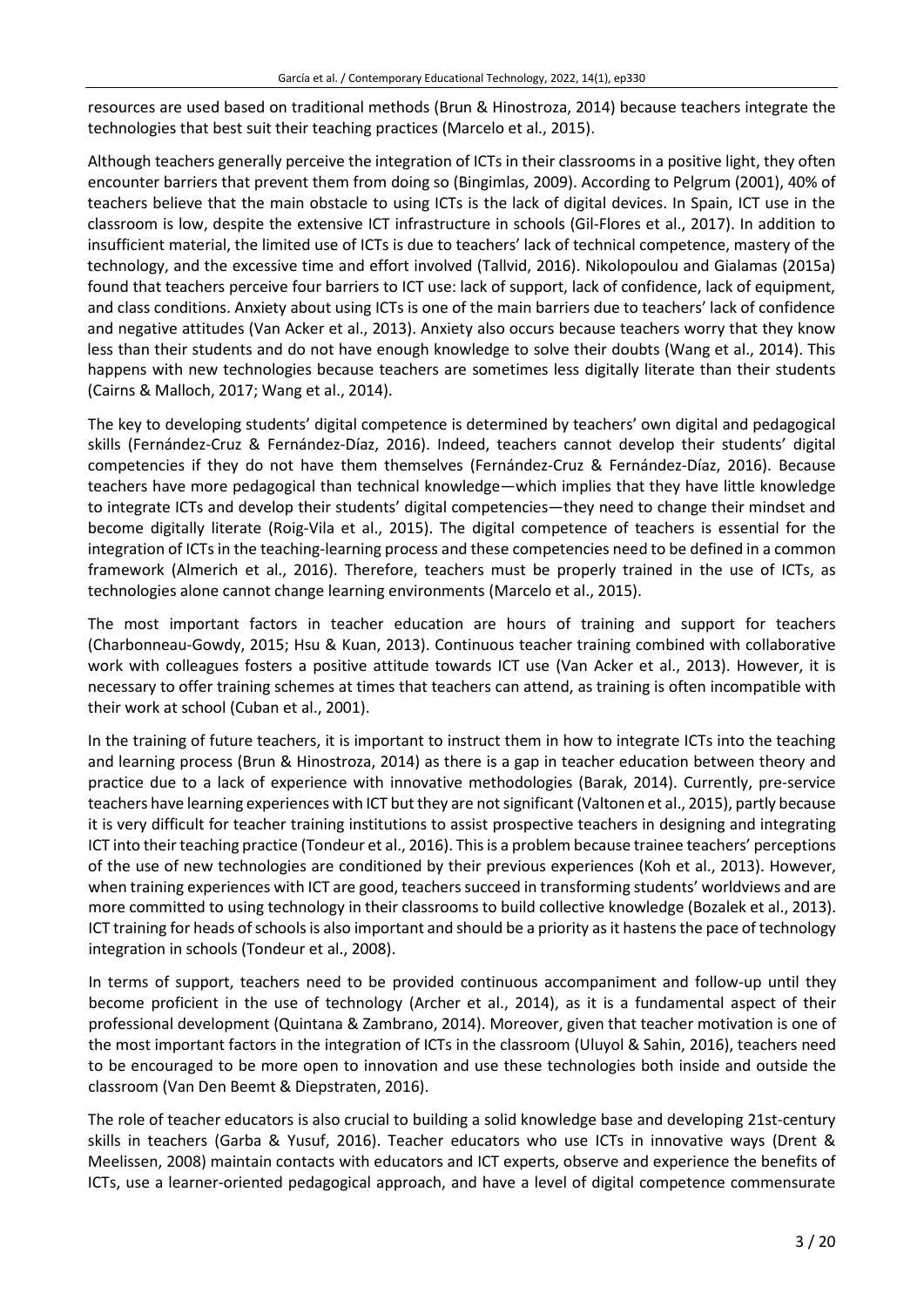resources are used based on traditional methods (Brun & Hinostroza, 2014) because teachers integrate the technologies that best suit their teaching practices (Marcelo et al., 2015).

Although teachers generally perceive the integration of ICTs in their classrooms in a positive light, they often encounter barriers that prevent them from doing so (Bingimlas, 2009). According to Pelgrum (2001), 40% of teachers believe that the main obstacle to using ICTs is the lack of digital devices. In Spain, ICT use in the classroom is low, despite the extensive ICT infrastructure in schools (Gil-Flores et al., 2017). In addition to insufficient material, the limited use of ICTs is due to teachers' lack of technical competence, mastery of the technology, and the excessive time and effort involved (Tallvid, 2016). Nikolopoulou and Gialamas (2015a) found that teachers perceive four barriers to ICT use: lack of support, lack of confidence, lack of equipment, and class conditions. Anxiety about using ICTs is one of the main barriers due to teachers' lack of confidence and negative attitudes (Van Acker et al., 2013). Anxiety also occurs because teachers worry that they know less than their students and do not have enough knowledge to solve their doubts (Wang et al., 2014). This happens with new technologies because teachers are sometimes less digitally literate than their students (Cairns & Malloch, 2017; Wang et al., 2014).

The key to developing students' digital competence is determined by teachers' own digital and pedagogical skills (Fernández-Cruz & Fernández-Díaz, 2016). Indeed, teachers cannot develop their students' digital competencies if they do not have them themselves (Fernández-Cruz & Fernández-Díaz, 2016). Because teachers have more pedagogical than technical knowledge—which implies that they have little knowledge to integrate ICTs and develop their students' digital competencies—they need to change their mindset and become digitally literate (Roig-Vila et al., 2015). The digital competence of teachers is essential for the integration of ICTs in the teaching-learning process and these competencies need to be defined in a common framework (Almerich et al., 2016). Therefore, teachers must be properly trained in the use of ICTs, as technologies alone cannot change learning environments (Marcelo et al., 2015).

The most important factors in teacher education are hours of training and support for teachers (Charbonneau-Gowdy, 2015; Hsu & Kuan, 2013). Continuous teacher training combined with collaborative work with colleagues fosters a positive attitude towards ICT use (Van Acker et al., 2013). However, it is necessary to offer training schemes at times that teachers can attend, as training is often incompatible with their work at school (Cuban et al., 2001).

In the training of future teachers, it is important to instruct them in how to integrate ICTs into the teaching and learning process (Brun & Hinostroza, 2014) as there is a gap in teacher education between theory and practice due to a lack of experience with innovative methodologies (Barak, 2014). Currently, pre-service teachers have learning experiences with ICT but they are not significant (Valtonen et al., 2015), partly because it is very difficult for teacher training institutions to assist prospective teachers in designing and integrating ICT into their teaching practice (Tondeur et al., 2016). This is a problem because trainee teachers' perceptions of the use of new technologies are conditioned by their previous experiences (Koh et al., 2013). However, when training experiences with ICT are good, teachers succeed in transforming students' worldviews and are more committed to using technology in their classrooms to build collective knowledge (Bozalek et al., 2013). ICT training for heads of schools is also important and should be a priority as it hastens the pace of technology integration in schools (Tondeur et al., 2008).

In terms of support, teachers need to be provided continuous accompaniment and follow-up until they become proficient in the use of technology (Archer et al., 2014), as it is a fundamental aspect of their professional development (Quintana & Zambrano, 2014). Moreover, given that teacher motivation is one of the most important factors in the integration of ICTs in the classroom (Uluyol & Sahin, 2016), teachers need to be encouraged to be more open to innovation and use these technologies both inside and outside the classroom (Van Den Beemt & Diepstraten, 2016).

The role of teacher educators is also crucial to building a solid knowledge base and developing 21st-century skills in teachers (Garba & Yusuf, 2016). Teacher educators who use ICTs in innovative ways (Drent & Meelissen, 2008) maintain contacts with educators and ICT experts, observe and experience the benefits of ICTs, use a learner-oriented pedagogical approach, and have a level of digital competence commensurate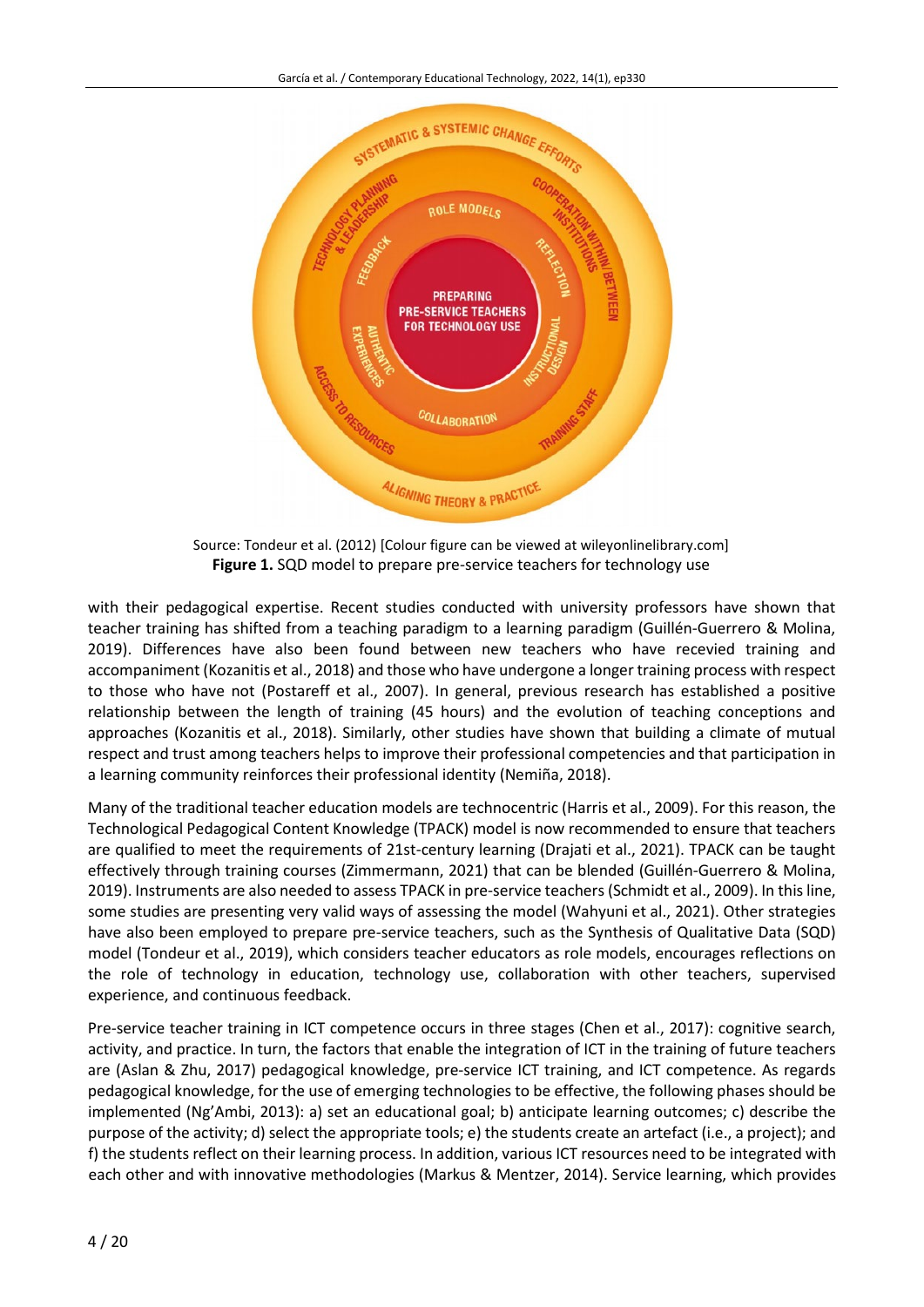

Source: Tondeur et al. (2012) [Colour figure can be viewed at wileyonlinelibrary.com] **Figure 1.** SQD model to prepare pre-service teachers for technology use

with their pedagogical expertise. Recent studies conducted with university professors have shown that teacher training has shifted from a teaching paradigm to a learning paradigm (Guillén-Guerrero & Molina, 2019). Differences have also been found between new teachers who have recevied training and accompaniment (Kozanitis et al., 2018) and those who have undergone a longer training process with respect to those who have not (Postareff et al., 2007). In general, previous research has established a positive relationship between the length of training (45 hours) and the evolution of teaching conceptions and approaches (Kozanitis et al., 2018). Similarly, other studies have shown that building a climate of mutual respect and trust among teachers helps to improve their professional competencies and that participation in a learning community reinforces their professional identity (Nemiña, 2018).

Many of the traditional teacher education models are technocentric (Harris et al., 2009). For this reason, the Technological Pedagogical Content Knowledge (TPACK) model is now recommended to ensure that teachers are qualified to meet the requirements of 21st-century learning (Drajati et al., 2021). TPACK can be taught effectively through training courses (Zimmermann, 2021) that can be blended (Guillén-Guerrero & Molina, 2019). Instruments are also needed to assess TPACK in pre-service teachers (Schmidt et al., 2009). In thisline, some studies are presenting very valid ways of assessing the model (Wahyuni et al., 2021). Other strategies have also been employed to prepare pre-service teachers, such as the Synthesis of Qualitative Data (SQD) model (Tondeur et al., 2019), which considers teacher educators as role models, encourages reflections on the role of technology in education, technology use, collaboration with other teachers, supervised experience, and continuous feedback.

Pre-service teacher training in ICT competence occurs in three stages (Chen et al., 2017): cognitive search, activity, and practice. In turn, the factors that enable the integration of ICT in the training of future teachers are (Aslan & Zhu, 2017) pedagogical knowledge, pre-service ICT training, and ICT competence. As regards pedagogical knowledge, for the use of emerging technologies to be effective, the following phases should be implemented (Ng'Ambi, 2013): a) set an educational goal; b) anticipate learning outcomes; c) describe the purpose of the activity; d) select the appropriate tools; e) the students create an artefact (i.e., a project); and f) the students reflect on their learning process. In addition, various ICT resources need to be integrated with each other and with innovative methodologies (Markus & Mentzer, 2014). Service learning, which provides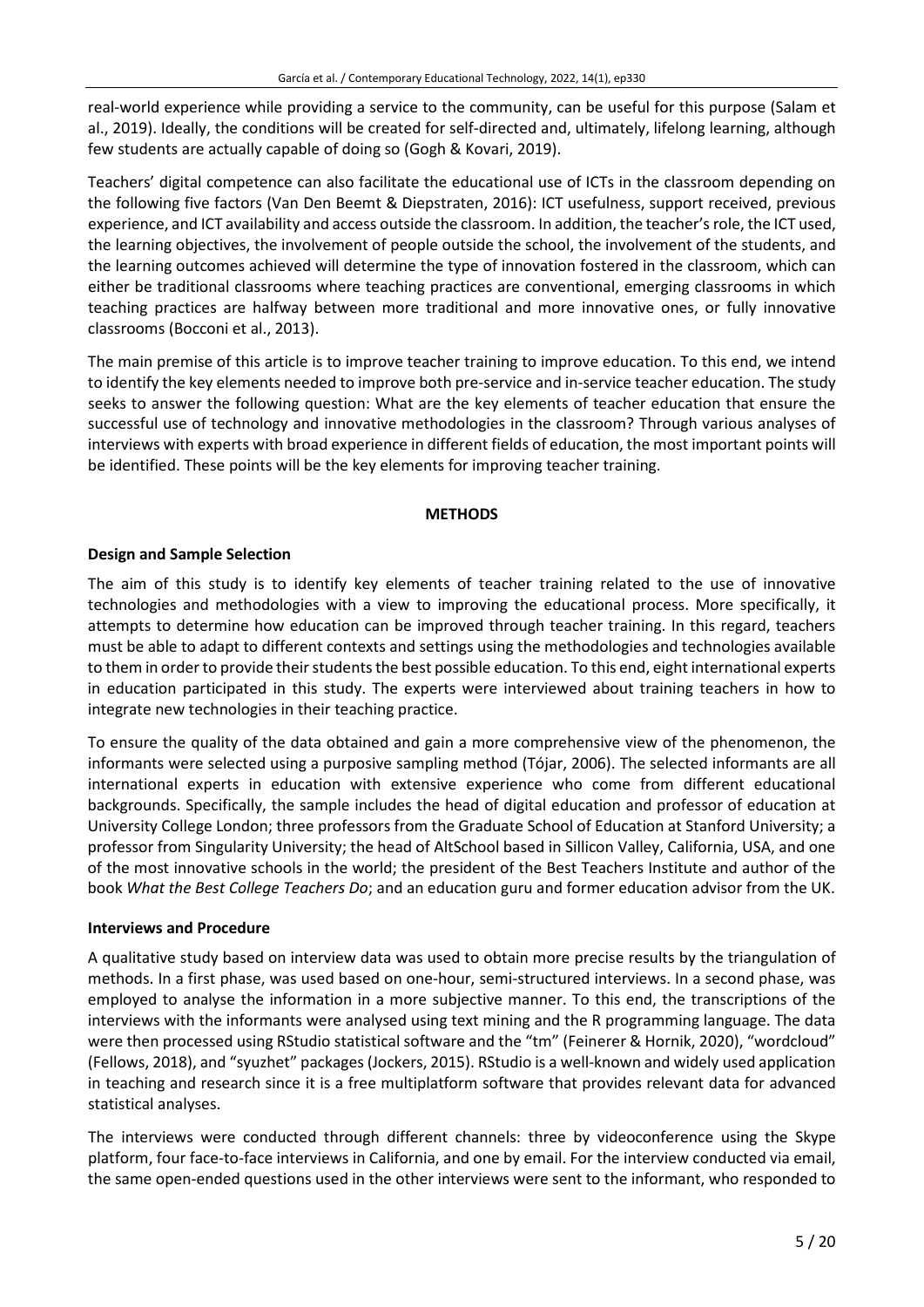real-world experience while providing a service to the community, can be useful for this purpose (Salam et al., 2019). Ideally, the conditions will be created for self-directed and, ultimately, lifelong learning, although few students are actually capable of doing so (Gogh & Kovari, 2019).

Teachers' digital competence can also facilitate the educational use of ICTs in the classroom depending on the following five factors (Van Den Beemt & Diepstraten, 2016): ICT usefulness, support received, previous experience, and ICT availability and access outside the classroom. In addition, the teacher'srole, the ICT used, the learning objectives, the involvement of people outside the school, the involvement of the students, and the learning outcomes achieved will determine the type of innovation fostered in the classroom, which can either be traditional classrooms where teaching practices are conventional, emerging classrooms in which teaching practices are halfway between more traditional and more innovative ones, or fully innovative classrooms (Bocconi et al., 2013).

The main premise of this article is to improve teacher training to improve education. To this end, we intend to identify the key elements needed to improve both pre-service and in-service teacher education. The study seeks to answer the following question: What are the key elements of teacher education that ensure the successful use of technology and innovative methodologies in the classroom? Through various analyses of interviews with experts with broad experience in different fields of education, the most important points will be identified. These points will be the key elements for improving teacher training.

# **METHODS**

# **Design and Sample Selection**

The aim of this study is to identify key elements of teacher training related to the use of innovative technologies and methodologies with a view to improving the educational process. More specifically, it attempts to determine how education can be improved through teacher training. In this regard, teachers must be able to adapt to different contexts and settings using the methodologies and technologies available to them in order to provide their students the best possible education. To this end, eight international experts in education participated in this study. The experts were interviewed about training teachers in how to integrate new technologies in their teaching practice.

To ensure the quality of the data obtained and gain a more comprehensive view of the phenomenon, the informants were selected using a purposive sampling method (Tójar, 2006). The selected informants are all international experts in education with extensive experience who come from different educational backgrounds. Specifically, the sample includes the head of digital education and professor of education at University College London; three professors from the Graduate School of Education at Stanford University; a professor from Singularity University; the head of AltSchool based in Sillicon Valley, California, USA, and one of the most innovative schools in the world; the president of the Best Teachers Institute and author of the book *What the Best College Teachers Do*; and an education guru and former education advisor from the UK.

#### **Interviews and Procedure**

A qualitative study based on interview data was used to obtain more precise results by the triangulation of methods. In a first phase, was used based on one-hour, semi-structured interviews. In a second phase, was employed to analyse the information in a more subjective manner. To this end, the transcriptions of the interviews with the informants were analysed using text mining and the R programming language. The data were then processed using RStudio statistical software and the "tm" (Feinerer & Hornik, 2020), "wordcloud" (Fellows, 2018), and "syuzhet" packages(Jockers, 2015). RStudio is a well-known and widely used application in teaching and research since it is a free multiplatform software that provides relevant data for advanced statistical analyses.

The interviews were conducted through different channels: three by videoconference using the Skype platform, four face-to-face interviews in California, and one by email. For the interview conducted via email, the same open-ended questions used in the other interviews were sent to the informant, who responded to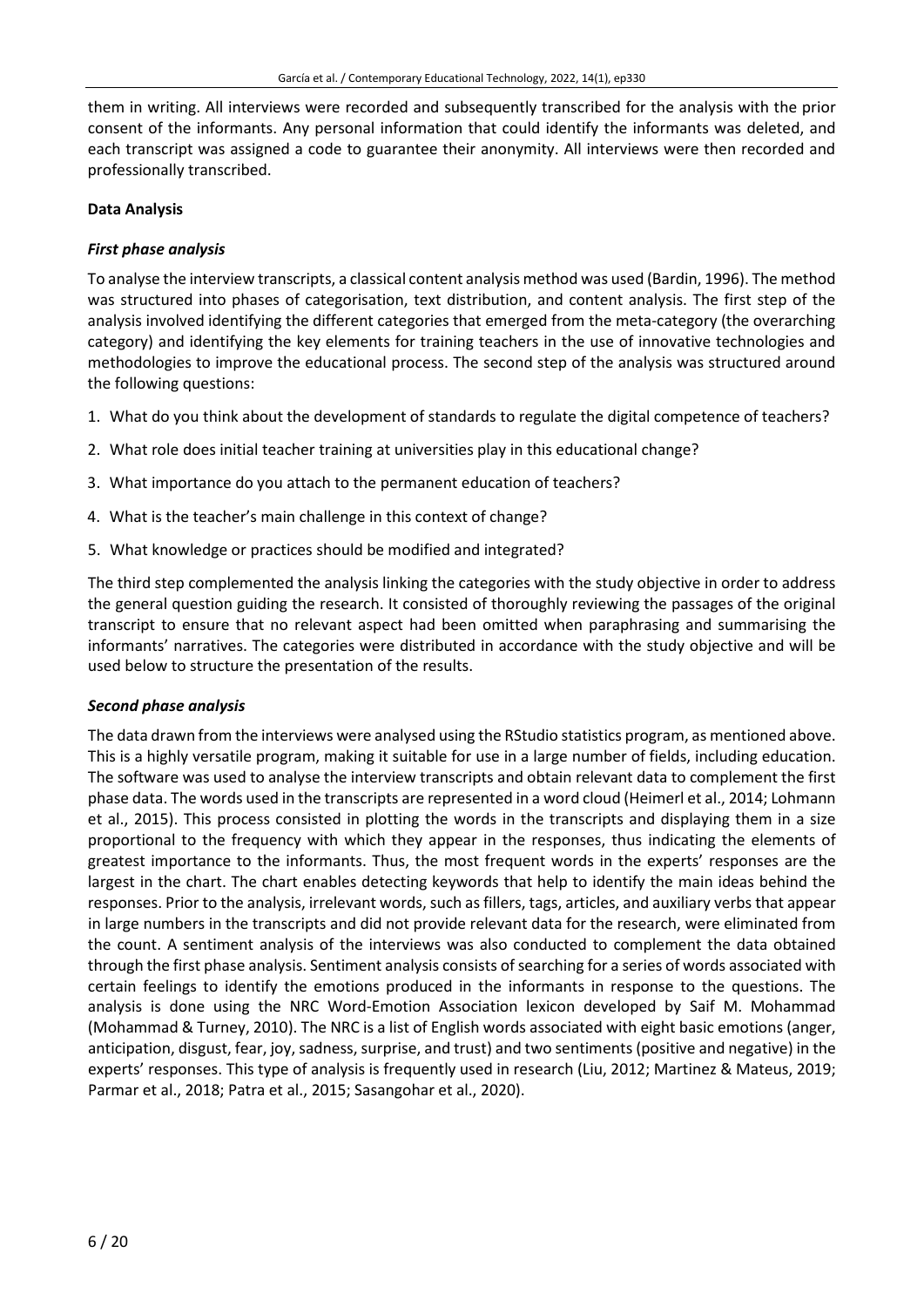them in writing. All interviews were recorded and subsequently transcribed for the analysis with the prior consent of the informants. Any personal information that could identify the informants was deleted, and each transcript was assigned a code to guarantee their anonymity. All interviews were then recorded and professionally transcribed.

### **Data Analysis**

# *First phase analysis*

To analyse the interview transcripts, a classical content analysis method was used (Bardin, 1996). The method was structured into phases of categorisation, text distribution, and content analysis. The first step of the analysis involved identifying the different categories that emerged from the meta-category (the overarching category) and identifying the key elements for training teachers in the use of innovative technologies and methodologies to improve the educational process. The second step of the analysis was structured around the following questions:

- 1. What do you think about the development of standards to regulate the digital competence of teachers?
- 2. What role does initial teacher training at universities play in this educational change?
- 3. What importance do you attach to the permanent education of teachers?
- 4. What is the teacher's main challenge in this context of change?
- 5. What knowledge or practices should be modified and integrated?

The third step complemented the analysis linking the categories with the study objective in order to address the general question guiding the research. It consisted of thoroughly reviewing the passages of the original transcript to ensure that no relevant aspect had been omitted when paraphrasing and summarising the informants' narratives. The categories were distributed in accordance with the study objective and will be used below to structure the presentation of the results.

#### *Second phase analysis*

The data drawn from the interviews were analysed using the RStudio statistics program, as mentioned above. This is a highly versatile program, making it suitable for use in a large number of fields, including education. The software was used to analyse the interview transcripts and obtain relevant data to complement the first phase data. The words used in the transcripts are represented in a word cloud (Heimerl et al., 2014; Lohmann et al., 2015). This process consisted in plotting the words in the transcripts and displaying them in a size proportional to the frequency with which they appear in the responses, thus indicating the elements of greatest importance to the informants. Thus, the most frequent words in the experts' responses are the largest in the chart. The chart enables detecting keywords that help to identify the main ideas behind the responses. Prior to the analysis, irrelevant words, such as fillers, tags, articles, and auxiliary verbs that appear in large numbers in the transcripts and did not provide relevant data for the research, were eliminated from the count. A sentiment analysis of the interviews was also conducted to complement the data obtained through the first phase analysis. Sentiment analysis consists of searching for a series of words associated with certain feelings to identify the emotions produced in the informants in response to the questions. The analysis is done using the NRC Word-Emotion Association lexicon developed by Saif M. Mohammad (Mohammad & Turney, 2010). The NRC is a list of English words associated with eight basic emotions (anger, anticipation, disgust, fear, joy, sadness, surprise, and trust) and two sentiments (positive and negative) in the experts' responses. This type of analysis is frequently used in research (Liu, 2012; Martinez & Mateus, 2019; Parmar et al., 2018; Patra et al., 2015; Sasangohar et al., 2020).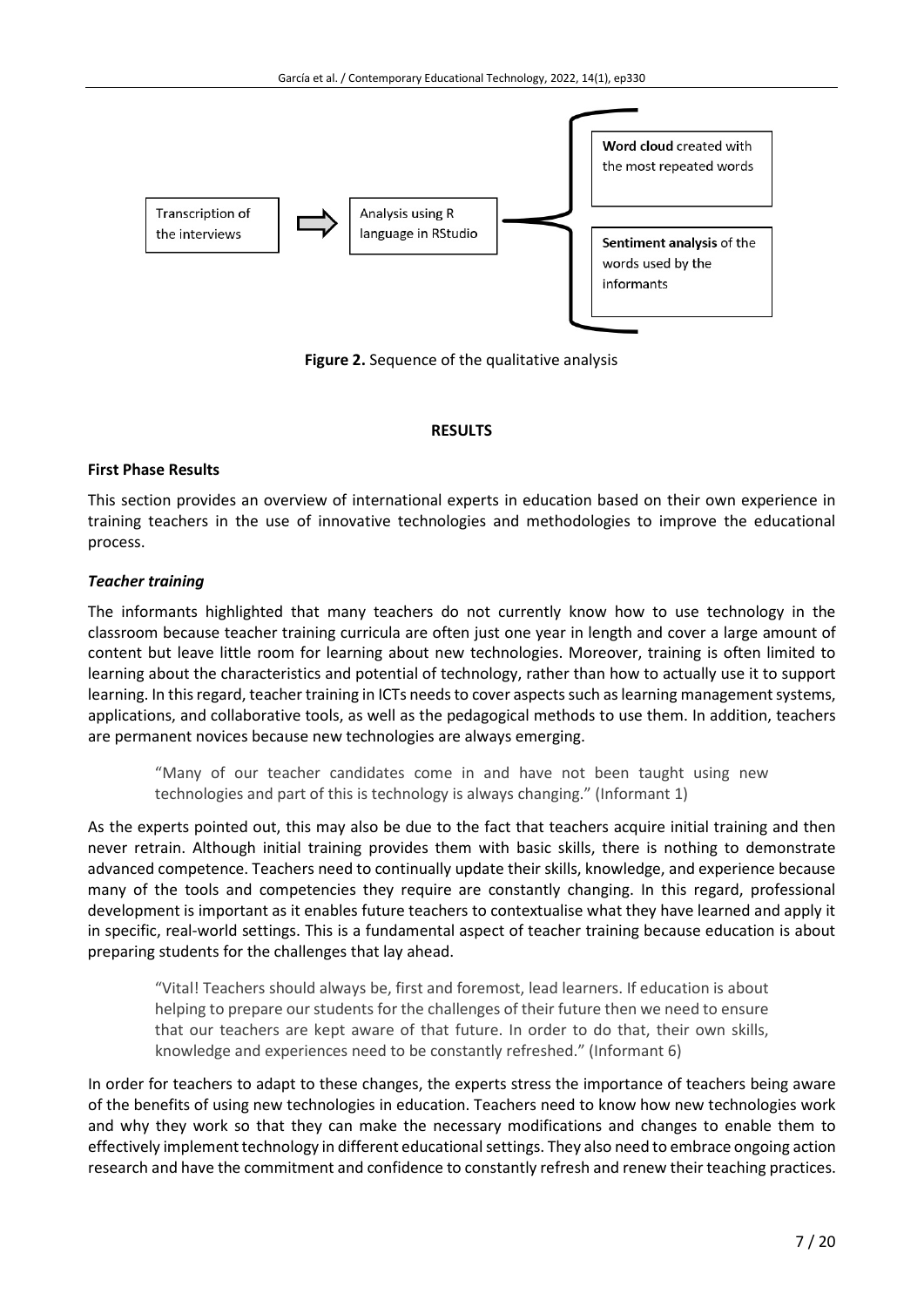

**Figure 2.** Sequence of the qualitative analysis

# **RESULTS**

# **First Phase Results**

This section provides an overview of international experts in education based on their own experience in training teachers in the use of innovative technologies and methodologies to improve the educational process.

# *Teacher training*

The informants highlighted that many teachers do not currently know how to use technology in the classroom because teacher training curricula are often just one year in length and cover a large amount of content but leave little room for learning about new technologies. Moreover, training is often limited to learning about the characteristics and potential of technology, rather than how to actually use it to support learning. In this regard, teacher training in ICTs needs to cover aspects such as learning management systems, applications, and collaborative tools, as well as the pedagogical methods to use them. In addition, teachers are permanent novices because new technologies are always emerging.

"Many of our teacher candidates come in and have not been taught using new technologies and part of this is technology is always changing." (Informant 1)

As the experts pointed out, this may also be due to the fact that teachers acquire initial training and then never retrain. Although initial training provides them with basic skills, there is nothing to demonstrate advanced competence. Teachers need to continually update their skills, knowledge, and experience because many of the tools and competencies they require are constantly changing. In this regard, professional development is important as it enables future teachers to contextualise what they have learned and apply it in specific, real-world settings. This is a fundamental aspect of teacher training because education is about preparing students for the challenges that lay ahead.

"Vital! Teachers should always be, first and foremost, lead learners. If education is about helping to prepare our students for the challenges of their future then we need to ensure that our teachers are kept aware of that future. In order to do that, their own skills, knowledge and experiences need to be constantly refreshed." (Informant 6)

In order for teachers to adapt to these changes, the experts stress the importance of teachers being aware of the benefits of using new technologies in education. Teachers need to know how new technologies work and why they work so that they can make the necessary modifications and changes to enable them to effectively implement technology in different educational settings. They also need to embrace ongoing action research and have the commitment and confidence to constantly refresh and renew their teaching practices.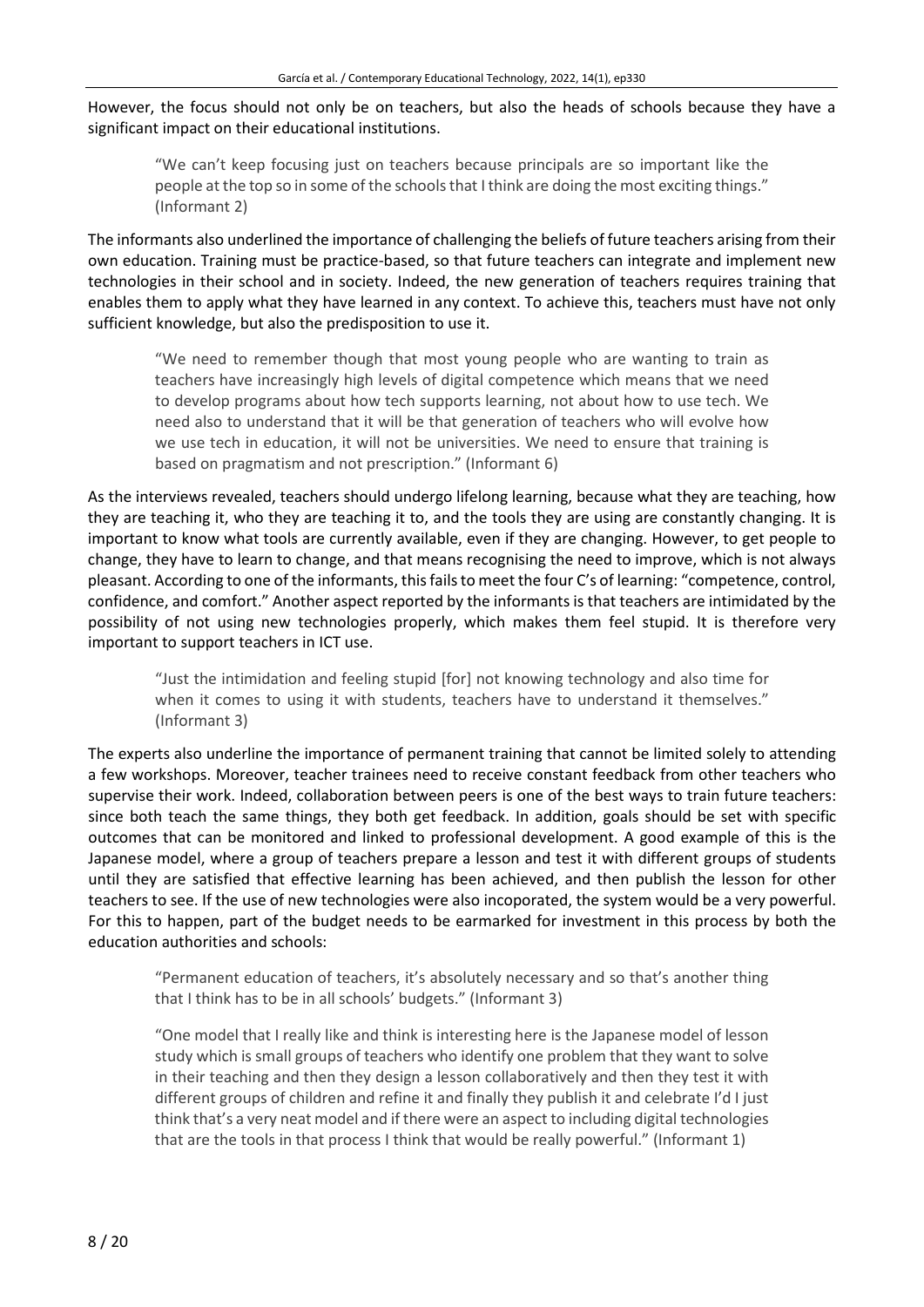However, the focus should not only be on teachers, but also the heads of schools because they have a significant impact on their educational institutions.

"We can't keep focusing just on teachers because principals are so important like the people at the top so in some of the schools that I think are doing the most exciting things." (Informant 2)

The informants also underlined the importance of challenging the beliefs of future teachers arising from their own education. Training must be practice-based, so that future teachers can integrate and implement new technologies in their school and in society. Indeed, the new generation of teachers requires training that enables them to apply what they have learned in any context. To achieve this, teachers must have not only sufficient knowledge, but also the predisposition to use it.

"We need to remember though that most young people who are wanting to train as teachers have increasingly high levels of digital competence which means that we need to develop programs about how tech supports learning, not about how to use tech. We need also to understand that it will be that generation of teachers who will evolve how we use tech in education, it will not be universities. We need to ensure that training is based on pragmatism and not prescription." (Informant 6)

As the interviews revealed, teachers should undergo lifelong learning, because what they are teaching, how they are teaching it, who they are teaching it to, and the tools they are using are constantly changing. It is important to know what tools are currently available, even if they are changing. However, to get people to change, they have to learn to change, and that means recognising the need to improve, which is not always pleasant. According to one of the informants, thisfailsto meet the four C's of learning: "competence, control, confidence, and comfort." Another aspect reported by the informants is that teachers are intimidated by the possibility of not using new technologies properly, which makes them feel stupid. It is therefore very important to support teachers in ICT use.

"Just the intimidation and feeling stupid [for] not knowing technology and also time for when it comes to using it with students, teachers have to understand it themselves." (Informant 3)

The experts also underline the importance of permanent training that cannot be limited solely to attending a few workshops. Moreover, teacher trainees need to receive constant feedback from other teachers who supervise their work. Indeed, collaboration between peers is one of the best ways to train future teachers: since both teach the same things, they both get feedback. In addition, goals should be set with specific outcomes that can be monitored and linked to professional development. A good example of this is the Japanese model, where a group of teachers prepare a lesson and test it with different groups of students until they are satisfied that effective learning has been achieved, and then publish the lesson for other teachers to see. If the use of new technologies were also incoporated, the system would be a very powerful. For this to happen, part of the budget needs to be earmarked for investment in this process by both the education authorities and schools:

"Permanent education of teachers, it's absolutely necessary and so that's another thing that I think has to be in all schools' budgets." (Informant 3)

"One model that I really like and think is interesting here is the Japanese model of lesson study which is small groups of teachers who identify one problem that they want to solve in their teaching and then they design a lesson collaboratively and then they test it with different groups of children and refine it and finally they publish it and celebrate I'd I just think that's a very neat model and if there were an aspect to including digital technologies that are the tools in that process I think that would be really powerful." (Informant 1)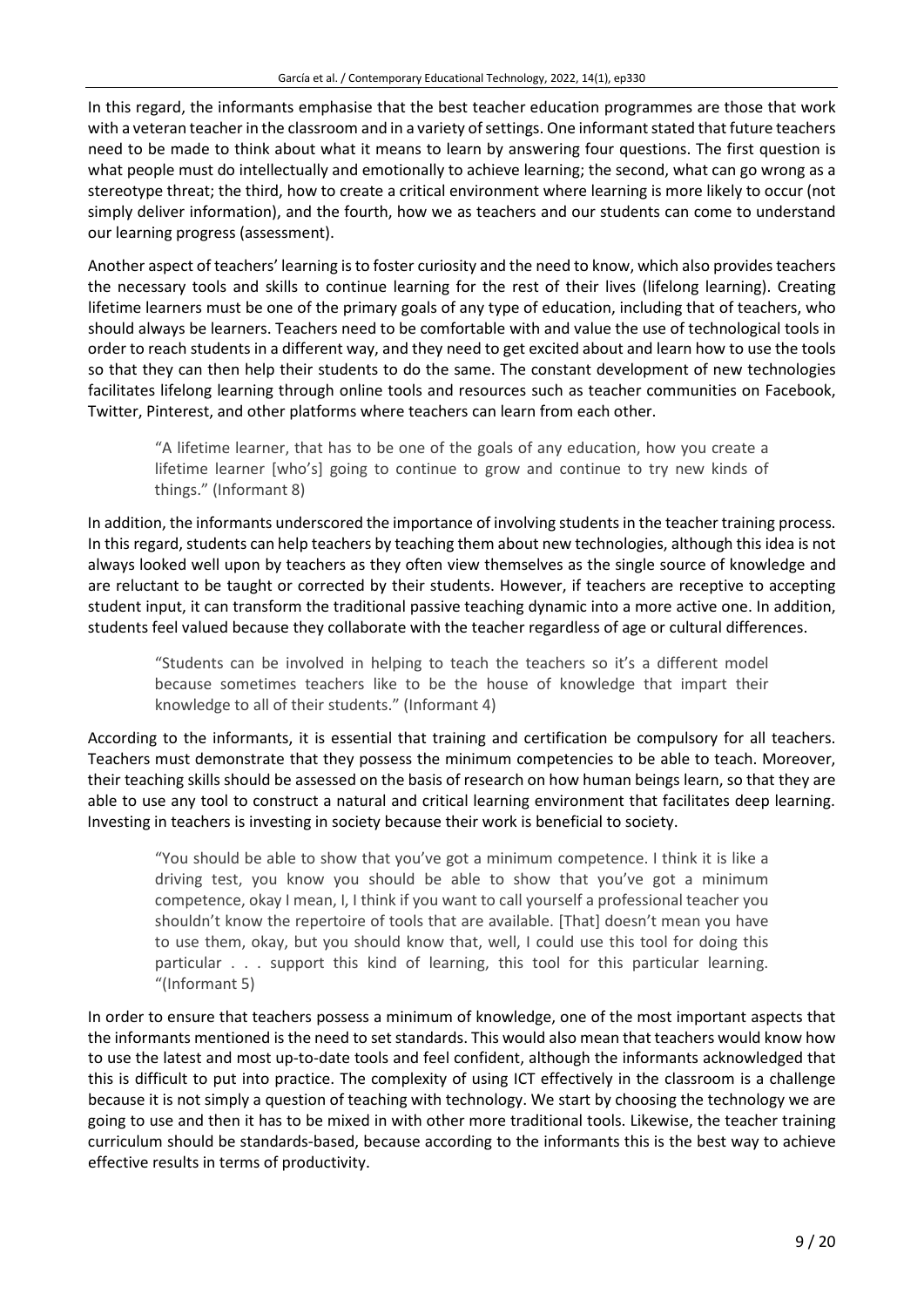In this regard, the informants emphasise that the best teacher education programmes are those that work with a veteran teacher in the classroom and in a variety of settings. One informant stated that future teachers need to be made to think about what it means to learn by answering four questions. The first question is what people must do intellectually and emotionally to achieve learning; the second, what can go wrong as a stereotype threat; the third, how to create a critical environment where learning is more likely to occur (not simply deliver information), and the fourth, how we as teachers and our students can come to understand our learning progress (assessment).

Another aspect of teachers' learning is to foster curiosity and the need to know, which also provides teachers the necessary tools and skills to continue learning for the rest of their lives (lifelong learning). Creating lifetime learners must be one of the primary goals of any type of education, including that of teachers, who should always be learners. Teachers need to be comfortable with and value the use of technological tools in order to reach students in a different way, and they need to get excited about and learn how to use the tools so that they can then help their students to do the same. The constant development of new technologies facilitates lifelong learning through online tools and resources such as teacher communities on Facebook, Twitter, Pinterest, and other platforms where teachers can learn from each other.

"A lifetime learner, that has to be one of the goals of any education, how you create a lifetime learner [who's] going to continue to grow and continue to try new kinds of things." (Informant 8)

In addition, the informants underscored the importance of involving studentsin the teacher training process. In this regard, students can help teachers by teaching them about new technologies, although this idea is not always looked well upon by teachers as they often view themselves as the single source of knowledge and are reluctant to be taught or corrected by their students. However, if teachers are receptive to accepting student input, it can transform the traditional passive teaching dynamic into a more active one. In addition, students feel valued because they collaborate with the teacher regardless of age or cultural differences.

"Students can be involved in helping to teach the teachers so it's a different model because sometimes teachers like to be the house of knowledge that impart their knowledge to all of their students." (Informant 4)

According to the informants, it is essential that training and certification be compulsory for all teachers. Teachers must demonstrate that they possess the minimum competencies to be able to teach. Moreover, their teaching skills should be assessed on the basis of research on how human beings learn, so that they are able to use any tool to construct a natural and critical learning environment that facilitates deep learning. Investing in teachers is investing in society because their work is beneficial to society.

"You should be able to show that you've got a minimum competence. I think it is like a driving test, you know you should be able to show that you've got a minimum competence, okay I mean, I, I think if you want to call yourself a professional teacher you shouldn't know the repertoire of tools that are available. [That] doesn't mean you have to use them, okay, but you should know that, well, I could use this tool for doing this particular . . . support this kind of learning, this tool for this particular learning. "(Informant 5)

In order to ensure that teachers possess a minimum of knowledge, one of the most important aspects that the informants mentioned is the need to set standards. This would also mean that teachers would know how to use the latest and most up-to-date tools and feel confident, although the informants acknowledged that this is difficult to put into practice. The complexity of using ICT effectively in the classroom is a challenge because it is not simply a question of teaching with technology. We start by choosing the technology we are going to use and then it has to be mixed in with other more traditional tools. Likewise, the teacher training curriculum should be standards-based, because according to the informants this is the best way to achieve effective results in terms of productivity.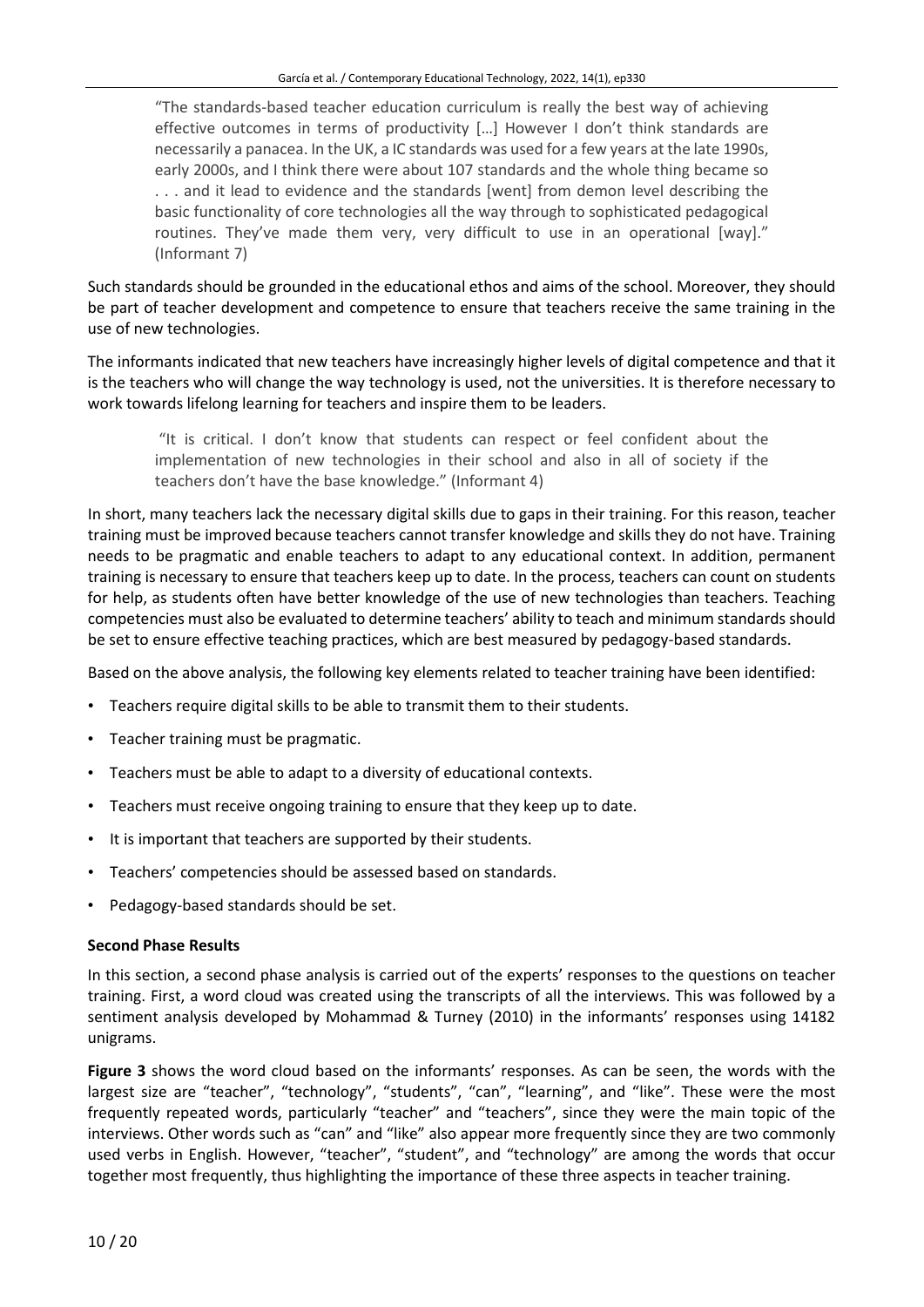"The standards-based teacher education curriculum is really the best way of achieving effective outcomes in terms of productivity […] However I don't think standards are necessarily a panacea. In the UK, a IC standards was used for a few years at the late 1990s, early 2000s, and I think there were about 107 standards and the whole thing became so . . . and it lead to evidence and the standards [went] from demon level describing the basic functionality of core technologies all the way through to sophisticated pedagogical routines. They've made them very, very difficult to use in an operational [way]." (Informant 7)

Such standards should be grounded in the educational ethos and aims of the school. Moreover, they should be part of teacher development and competence to ensure that teachers receive the same training in the use of new technologies.

The informants indicated that new teachers have increasingly higher levels of digital competence and that it is the teachers who will change the way technology is used, not the universities. It is therefore necessary to work towards lifelong learning for teachers and inspire them to be leaders.

"It is critical. I don't know that students can respect or feel confident about the implementation of new technologies in their school and also in all of society if the teachers don't have the base knowledge." (Informant 4)

In short, many teachers lack the necessary digital skills due to gaps in their training. For this reason, teacher training must be improved because teachers cannot transfer knowledge and skills they do not have. Training needs to be pragmatic and enable teachers to adapt to any educational context. In addition, permanent training is necessary to ensure that teachers keep up to date. In the process, teachers can count on students for help, as students often have better knowledge of the use of new technologies than teachers. Teaching competencies must also be evaluated to determine teachers' ability to teach and minimum standards should be set to ensure effective teaching practices, which are best measured by pedagogy-based standards.

Based on the above analysis, the following key elements related to teacher training have been identified:

- Teachers require digital skills to be able to transmit them to their students.
- Teacher training must be pragmatic.
- Teachers must be able to adapt to a diversity of educational contexts.
- Teachers must receive ongoing training to ensure that they keep up to date.
- It is important that teachers are supported by their students.
- Teachers' competencies should be assessed based on standards.
- Pedagogy-based standards should be set.

#### **Second Phase Results**

In this section, a second phase analysis is carried out of the experts' responses to the questions on teacher training. First, a word cloud was created using the transcripts of all the interviews. This was followed by a sentiment analysis developed by Mohammad & Turney (2010) in the informants' responses using 14182 unigrams.

**Figure 3** shows the word cloud based on the informants' responses. As can be seen, the words with the largest size are "teacher", "technology", "students", "can", "learning", and "like". These were the most frequently repeated words, particularly "teacher" and "teachers", since they were the main topic of the interviews. Other words such as "can" and "like" also appear more frequently since they are two commonly used verbs in English. However, "teacher", "student", and "technology" are among the words that occur together most frequently, thus highlighting the importance of these three aspects in teacher training.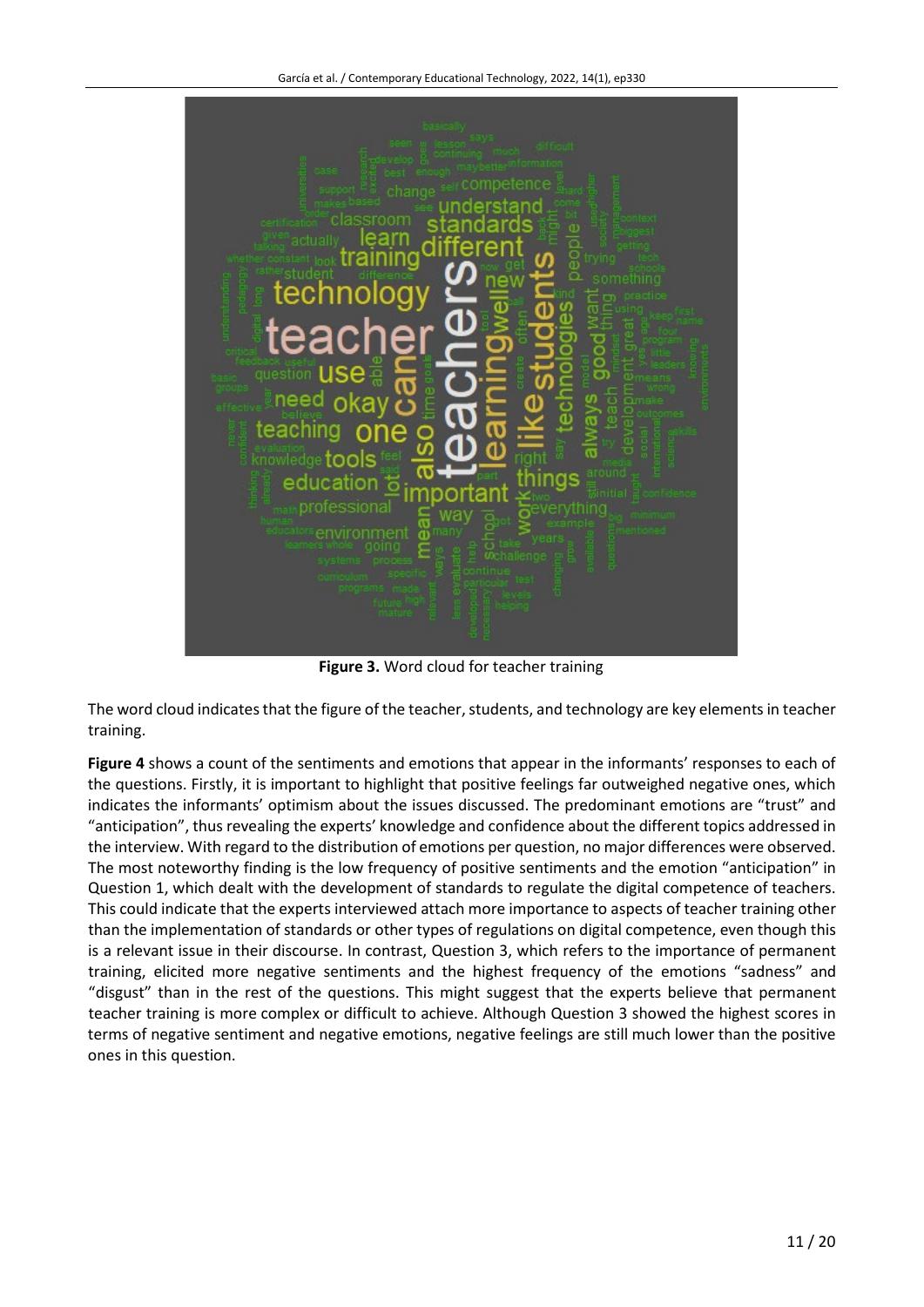

**Figure 3.** Word cloud for teacher training

The word cloud indicates that the figure of the teacher, students, and technology are key elements in teacher training.

**Figure 4** shows a count of the sentiments and emotions that appear in the informants' responses to each of the questions. Firstly, it is important to highlight that positive feelings far outweighed negative ones, which indicates the informants' optimism about the issues discussed. The predominant emotions are "trust" and "anticipation", thus revealing the experts' knowledge and confidence about the different topics addressed in the interview. With regard to the distribution of emotions per question, no major differences were observed. The most noteworthy finding is the low frequency of positive sentiments and the emotion "anticipation" in Question 1, which dealt with the development of standards to regulate the digital competence of teachers. This could indicate that the experts interviewed attach more importance to aspects of teacher training other than the implementation of standards or other types of regulations on digital competence, even though this is a relevant issue in their discourse. In contrast, Question 3, which refers to the importance of permanent training, elicited more negative sentiments and the highest frequency of the emotions "sadness" and "disgust" than in the rest of the questions. This might suggest that the experts believe that permanent teacher training is more complex or difficult to achieve. Although Question 3 showed the highest scores in terms of negative sentiment and negative emotions, negative feelings are still much lower than the positive ones in this question.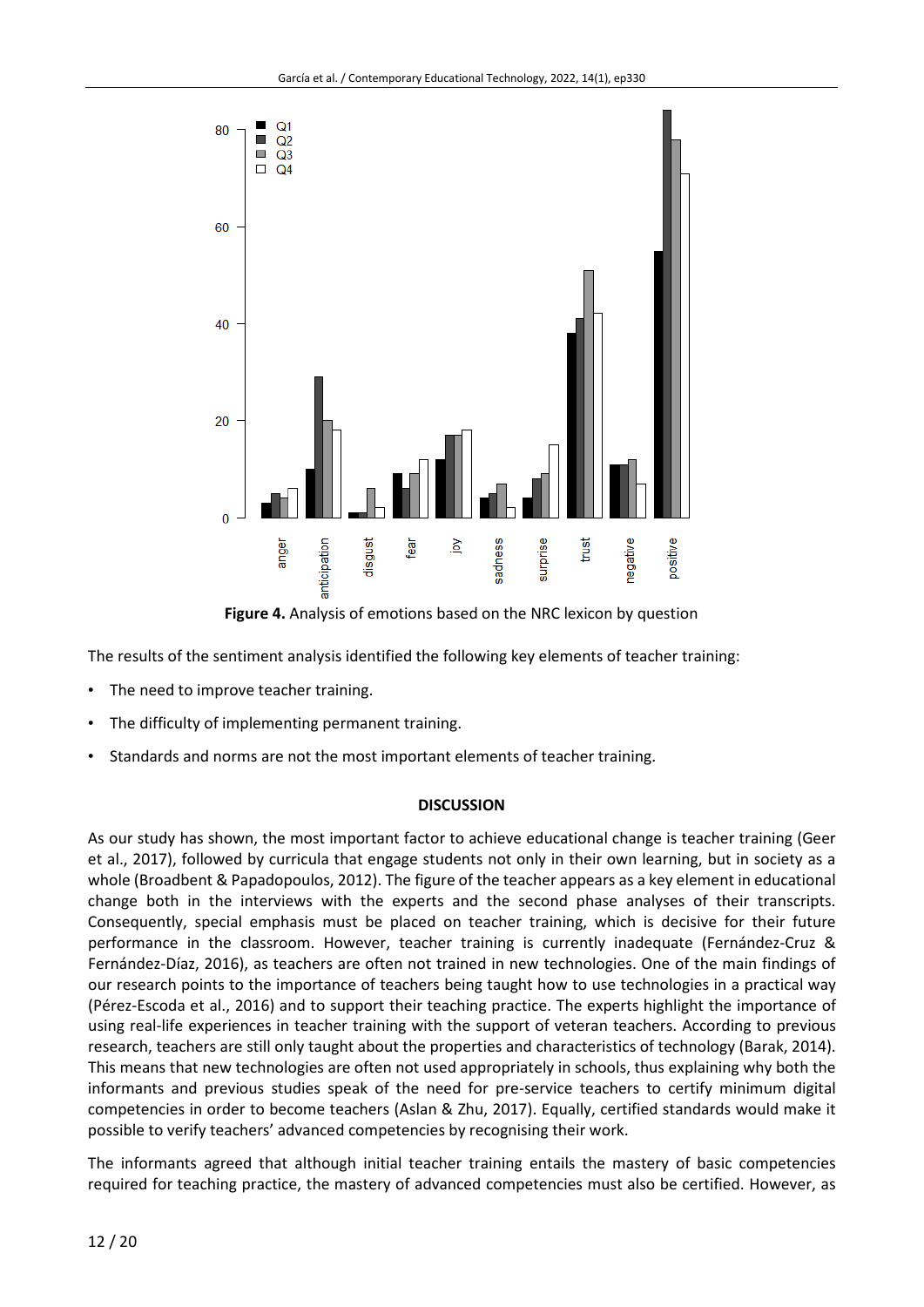

**Figure 4.** Analysis of emotions based on the NRC lexicon by question

The results of the sentiment analysis identified the following key elements of teacher training:

- The need to improve teacher training.
- The difficulty of implementing permanent training.
- Standards and norms are not the most important elements of teacher training.

#### **DISCUSSION**

As our study has shown, the most important factor to achieve educational change is teacher training (Geer et al., 2017), followed by curricula that engage students not only in their own learning, but in society as a whole (Broadbent & Papadopoulos, 2012). The figure of the teacher appears as a key element in educational change both in the interviews with the experts and the second phase analyses of their transcripts. Consequently, special emphasis must be placed on teacher training, which is decisive for their future performance in the classroom. However, teacher training is currently inadequate (Fernández-Cruz & Fernández-Díaz, 2016), as teachers are often not trained in new technologies. One of the main findings of our research points to the importance of teachers being taught how to use technologies in a practical way (Pérez-Escoda et al., 2016) and to support their teaching practice. The experts highlight the importance of using real-life experiences in teacher training with the support of veteran teachers. According to previous research, teachers are still only taught about the properties and characteristics of technology (Barak, 2014). This means that new technologies are often not used appropriately in schools, thus explaining why both the informants and previous studies speak of the need for pre-service teachers to certify minimum digital competencies in order to become teachers (Aslan & Zhu, 2017). Equally, certified standards would make it possible to verify teachers' advanced competencies by recognising their work.

The informants agreed that although initial teacher training entails the mastery of basic competencies required for teaching practice, the mastery of advanced competencies must also be certified. However, as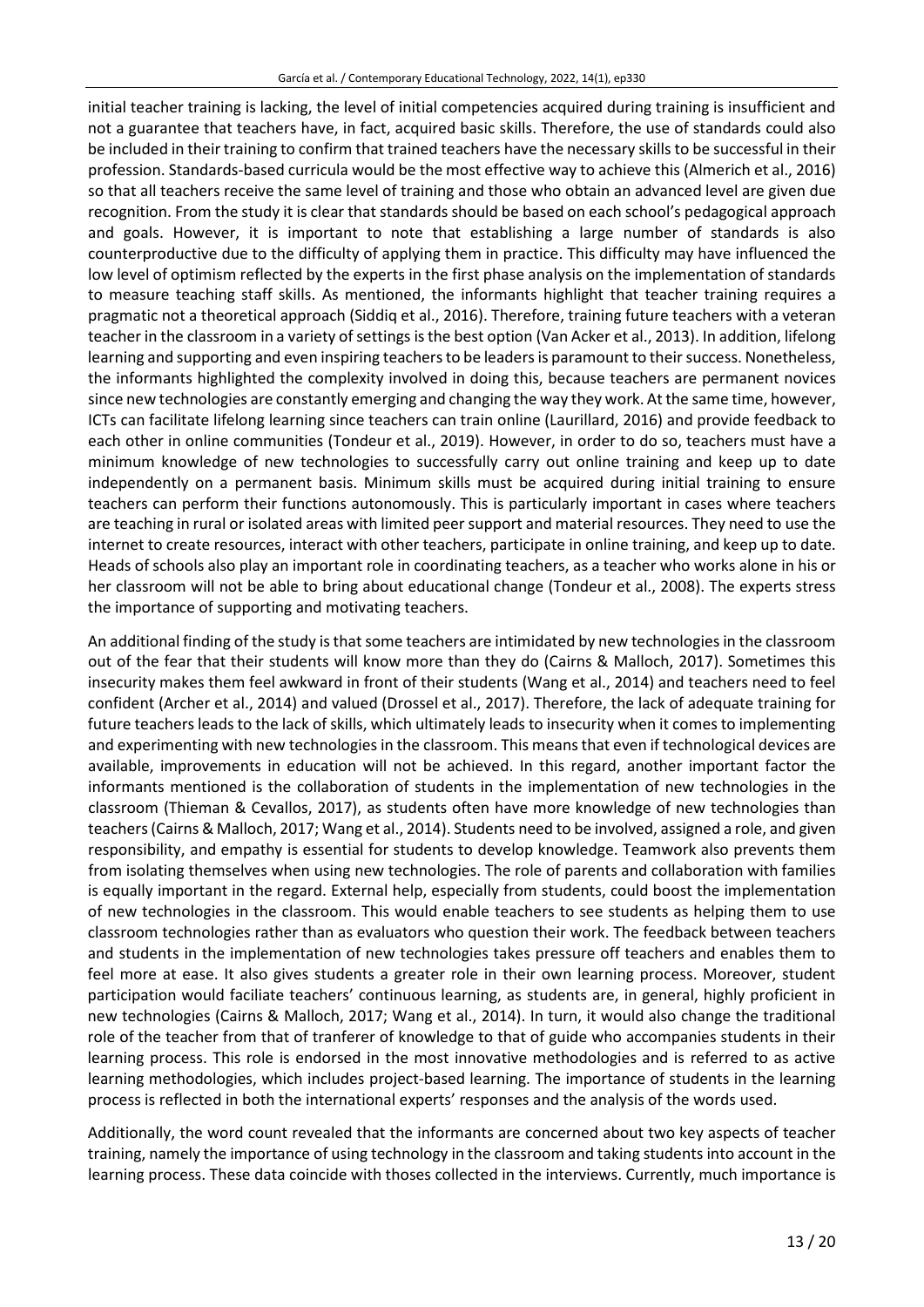initial teacher training is lacking, the level of initial competencies acquired during training is insufficient and not a guarantee that teachers have, in fact, acquired basic skills. Therefore, the use of standards could also be included in their training to confirm that trained teachers have the necessary skills to be successful in their profession. Standards-based curricula would be the most effective way to achieve this (Almerich et al., 2016) so that all teachers receive the same level of training and those who obtain an advanced level are given due recognition. From the study it is clear that standards should be based on each school's pedagogical approach and goals. However, it is important to note that establishing a large number of standards is also counterproductive due to the difficulty of applying them in practice. This difficulty may have influenced the low level of optimism reflected by the experts in the first phase analysis on the implementation of standards to measure teaching staff skills. As mentioned, the informants highlight that teacher training requires a pragmatic not a theoretical approach (Siddiq et al., 2016). Therefore, training future teachers with a veteran teacher in the classroom in a variety of settings is the best option (Van Acker et al., 2013). In addition, lifelong learning and supporting and even inspiring teachers to be leaders is paramount to their success. Nonetheless, the informants highlighted the complexity involved in doing this, because teachers are permanent novices since new technologies are constantly emerging and changing the way they work. At the same time, however, ICTs can facilitate lifelong learning since teachers can train online (Laurillard, 2016) and provide feedback to each other in online communities (Tondeur et al., 2019). However, in order to do so, teachers must have a minimum knowledge of new technologies to successfully carry out online training and keep up to date independently on a permanent basis. Minimum skills must be acquired during initial training to ensure teachers can perform their functions autonomously. This is particularly important in cases where teachers are teaching in rural or isolated areas with limited peersupport and material resources. They need to use the internet to create resources, interact with other teachers, participate in online training, and keep up to date. Heads of schools also play an important role in coordinating teachers, as a teacher who works alone in his or her classroom will not be able to bring about educational change (Tondeur et al., 2008). The experts stress the importance of supporting and motivating teachers.

An additional finding of the study is that some teachers are intimidated by new technologies in the classroom out of the fear that their students will know more than they do (Cairns & Malloch, 2017). Sometimes this insecurity makes them feel awkward in front of their students (Wang et al., 2014) and teachers need to feel confident (Archer et al., 2014) and valued (Drossel et al., 2017). Therefore, the lack of adequate training for future teachers leads to the lack of skills, which ultimately leads to insecurity when it comes to implementing and experimenting with new technologies in the classroom. This means that even if technological devices are available, improvements in education will not be achieved. In this regard, another important factor the informants mentioned is the collaboration of students in the implementation of new technologies in the classroom (Thieman & Cevallos, 2017), as students often have more knowledge of new technologies than teachers(Cairns & Malloch, 2017; Wang et al., 2014). Students need to be involved, assigned a role, and given responsibility, and empathy is essential for students to develop knowledge. Teamwork also prevents them from isolating themselves when using new technologies. The role of parents and collaboration with families is equally important in the regard. External help, especially from students, could boost the implementation of new technologies in the classroom. This would enable teachers to see students as helping them to use classroom technologies rather than as evaluators who question their work. The feedback between teachers and students in the implementation of new technologies takes pressure off teachers and enables them to feel more at ease. It also gives students a greater role in their own learning process. Moreover, student participation would faciliate teachers' continuous learning, as students are, in general, highly proficient in new technologies (Cairns & Malloch, 2017; Wang et al., 2014). In turn, it would also change the traditional role of the teacher from that of tranferer of knowledge to that of guide who accompanies students in their learning process. This role is endorsed in the most innovative methodologies and is referred to as active learning methodologies, which includes project-based learning. The importance of students in the learning process is reflected in both the international experts' responses and the analysis of the words used.

Additionally, the word count revealed that the informants are concerned about two key aspects of teacher training, namely the importance of using technology in the classroom and taking students into account in the learning process. These data coincide with thoses collected in the interviews. Currently, much importance is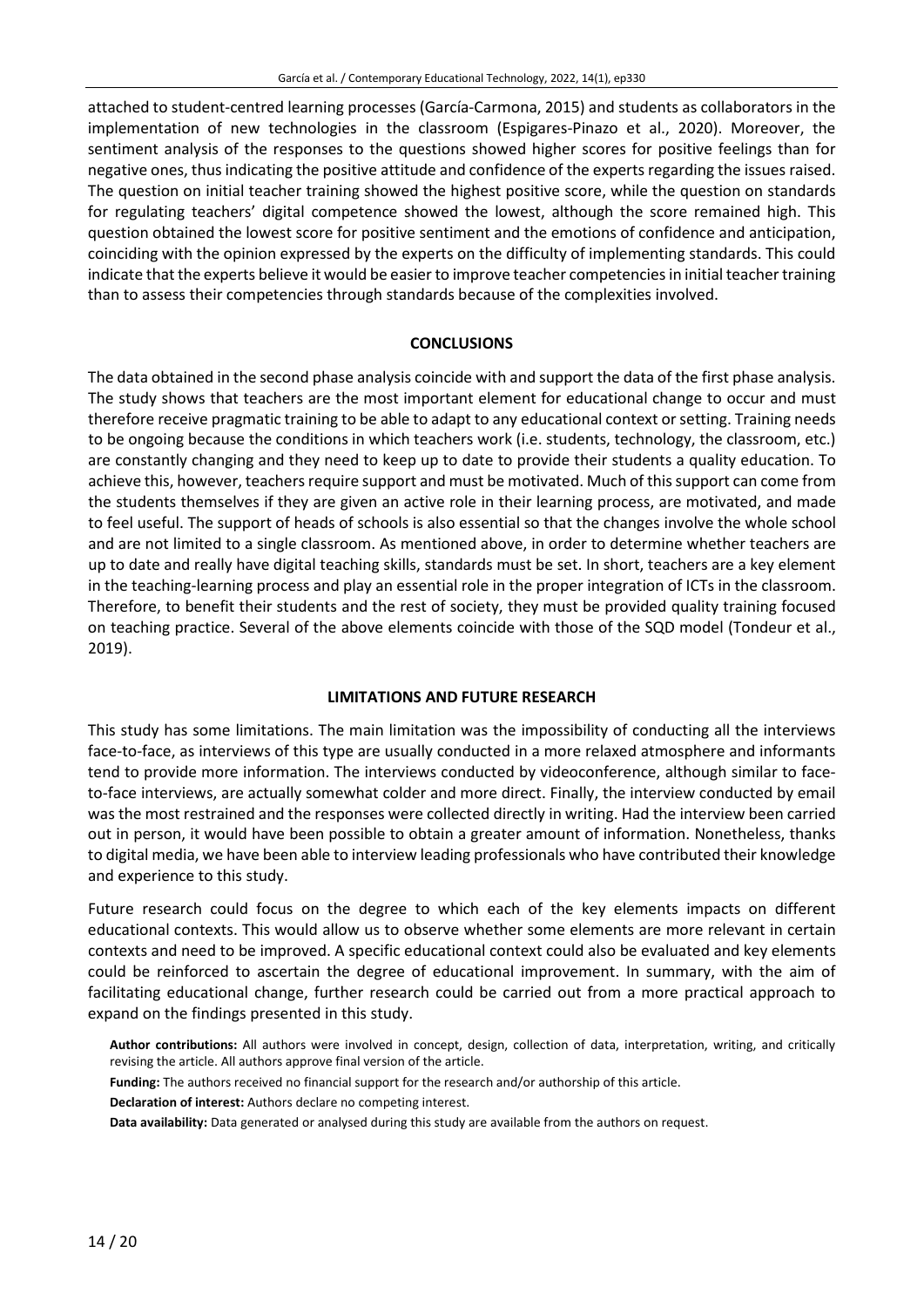attached to student-centred learning processes (García-Carmona, 2015) and students as collaborators in the implementation of new technologies in the classroom (Espigares-Pinazo et al., 2020). Moreover, the sentiment analysis of the responses to the questions showed higher scores for positive feelings than for negative ones, thus indicating the positive attitude and confidence of the experts regarding the issues raised. The question on initial teacher training showed the highest positive score, while the question on standards for regulating teachers' digital competence showed the lowest, although the score remained high. This question obtained the lowest score for positive sentiment and the emotions of confidence and anticipation, coinciding with the opinion expressed by the experts on the difficulty of implementing standards. This could indicate that the experts believe it would be easier to improve teacher competencies in initial teacher training than to assess their competencies through standards because of the complexities involved.

#### **CONCLUSIONS**

The data obtained in the second phase analysis coincide with and support the data of the first phase analysis. The study shows that teachers are the most important element for educational change to occur and must therefore receive pragmatic training to be able to adapt to any educational context or setting. Training needs to be ongoing because the conditions in which teachers work (i.e. students, technology, the classroom, etc.) are constantly changing and they need to keep up to date to provide their students a quality education. To achieve this, however, teachers require support and must be motivated. Much of this support can come from the students themselves if they are given an active role in their learning process, are motivated, and made to feel useful. The support of heads of schools is also essential so that the changes involve the whole school and are not limited to a single classroom. As mentioned above, in order to determine whether teachers are up to date and really have digital teaching skills, standards must be set. In short, teachers are a key element in the teaching-learning process and play an essential role in the proper integration of ICTs in the classroom. Therefore, to benefit their students and the rest of society, they must be provided quality training focused on teaching practice. Several of the above elements coincide with those of the SQD model (Tondeur et al., 2019).

#### **LIMITATIONS AND FUTURE RESEARCH**

This study has some limitations. The main limitation was the impossibility of conducting all the interviews face-to-face, as interviews of this type are usually conducted in a more relaxed atmosphere and informants tend to provide more information. The interviews conducted by videoconference, although similar to faceto-face interviews, are actually somewhat colder and more direct. Finally, the interview conducted by email was the most restrained and the responses were collected directly in writing. Had the interview been carried out in person, it would have been possible to obtain a greater amount of information. Nonetheless, thanks to digital media, we have been able to interview leading professionals who have contributed their knowledge and experience to this study.

Future research could focus on the degree to which each of the key elements impacts on different educational contexts. This would allow us to observe whether some elements are more relevant in certain contexts and need to be improved. A specific educational context could also be evaluated and key elements could be reinforced to ascertain the degree of educational improvement. In summary, with the aim of facilitating educational change, further research could be carried out from a more practical approach to expand on the findings presented in this study.

**Author contributions:** All authors were involved in concept, design, collection of data, interpretation, writing, and critically revising the article. All authors approve final version of the article.

**Funding:** The authors received no financial support for the research and/or authorship of this article.

**Declaration of interest:** Authors declare no competing interest.

**Data availability:** Data generated or analysed during this study are available from the authors on request.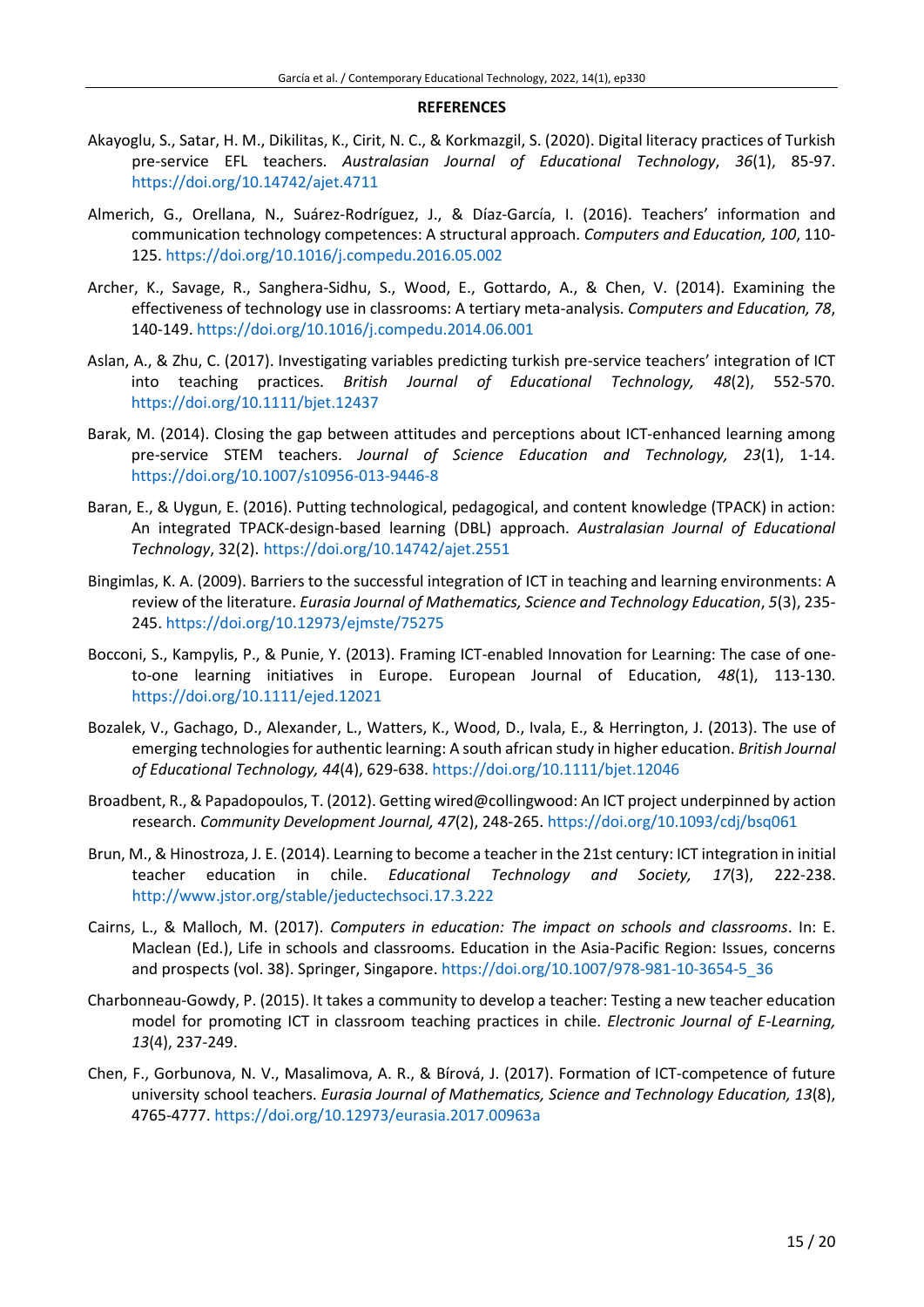#### **REFERENCES**

- Akayoglu, S., Satar, H. M., Dikilitas, K., Cirit, N. C., & Korkmazgil, S. (2020). Digital literacy practices of Turkish pre-service EFL teachers. *Australasian Journal of Educational Technology*, *36*(1), 85-97. <https://doi.org/10.14742/ajet.4711>
- Almerich, G., Orellana, N., Suárez-Rodríguez, J., & Díaz-García, I. (2016). Teachers' information and communication technology competences: A structural approach. *Computers and Education, 100*, 110- 125. <https://doi.org/10.1016/j.compedu.2016.05.002>
- Archer, K., Savage, R., Sanghera-Sidhu, S., Wood, E., Gottardo, A., & Chen, V. (2014). Examining the effectiveness of technology use in classrooms: A tertiary meta-analysis. *Computers and Education, 78*, 140-149. <https://doi.org/10.1016/j.compedu.2014.06.001>
- Aslan, A., & Zhu, C. (2017). Investigating variables predicting turkish pre-service teachers' integration of ICT into teaching practices. *British Journal of Educational Technology, 48*(2), 552-570. <https://doi.org/10.1111/bjet.12437>
- Barak, M. (2014). Closing the gap between attitudes and perceptions about ICT-enhanced learning among pre-service STEM teachers. *Journal of Science Education and Technology, 23*(1), 1-14. <https://doi.org/10.1007/s10956-013-9446-8>
- Baran, E., & Uygun, E. (2016). Putting technological, pedagogical, and content knowledge (TPACK) in action: An integrated TPACK-design-based learning (DBL) approach. *Australasian Journal of Educational Technology*, 32(2). <https://doi.org/10.14742/ajet.2551>
- Bingimlas, K. A. (2009). Barriers to the successful integration of ICT in teaching and learning environments: A review of the literature. *Eurasia Journal of Mathematics, Science and Technology Education*, *5*(3), 235- 245. <https://doi.org/10.12973/ejmste/75275>
- Bocconi, S., Kampylis, P., & Punie, Y. (2013). Framing ICT-enabled Innovation for Learning: The case of oneto-one learning initiatives in Europe. European Journal of Education, *48*(1), 113-130. <https://doi.org/10.1111/ejed.12021>
- Bozalek, V., Gachago, D., Alexander, L., Watters, K., Wood, D., Ivala, E., & Herrington, J. (2013). The use of emerging technologies for authentic learning: A south african study in higher education. *British Journal of Educational Technology, 44*(4), 629-638. <https://doi.org/10.1111/bjet.12046>
- Broadbent, R., & Papadopoulos, T. (2012). Getting wired@collingwood: An ICT project underpinned by action research. *Community Development Journal, 47*(2), 248-265. <https://doi.org/10.1093/cdj/bsq061>
- Brun, M., & Hinostroza, J. E. (2014). Learning to become a teacher in the 21st century: ICT integration in initial teacher education in chile. *Educational Technology and Society, 17*(3), 222-238. <http://www.jstor.org/stable/jeductechsoci.17.3.222>
- Cairns, L., & Malloch, M. (2017). *Computers in education: The impact on schools and classrooms*. In: E. Maclean (Ed.), Life in schools and classrooms. Education in the Asia-Pacific Region: Issues, concerns and prospects (vol. 38). Springer, Singapore. [https://doi.org/10.1007/978-981-10-3654-5\\_36](https://doi.org/10.1007/978-981-10-3654-5_36)
- Charbonneau-Gowdy, P. (2015). It takes a community to develop a teacher: Testing a new teacher education model for promoting ICT in classroom teaching practices in chile. *Electronic Journal of E-Learning, 13*(4), 237-249.
- Chen, F., Gorbunova, N. V., Masalimova, A. R., & Bírová, J. (2017). Formation of ICT-competence of future university school teachers. *Eurasia Journal of Mathematics, Science and Technology Education, 13*(8), 4765-4777. <https://doi.org/10.12973/eurasia.2017.00963a>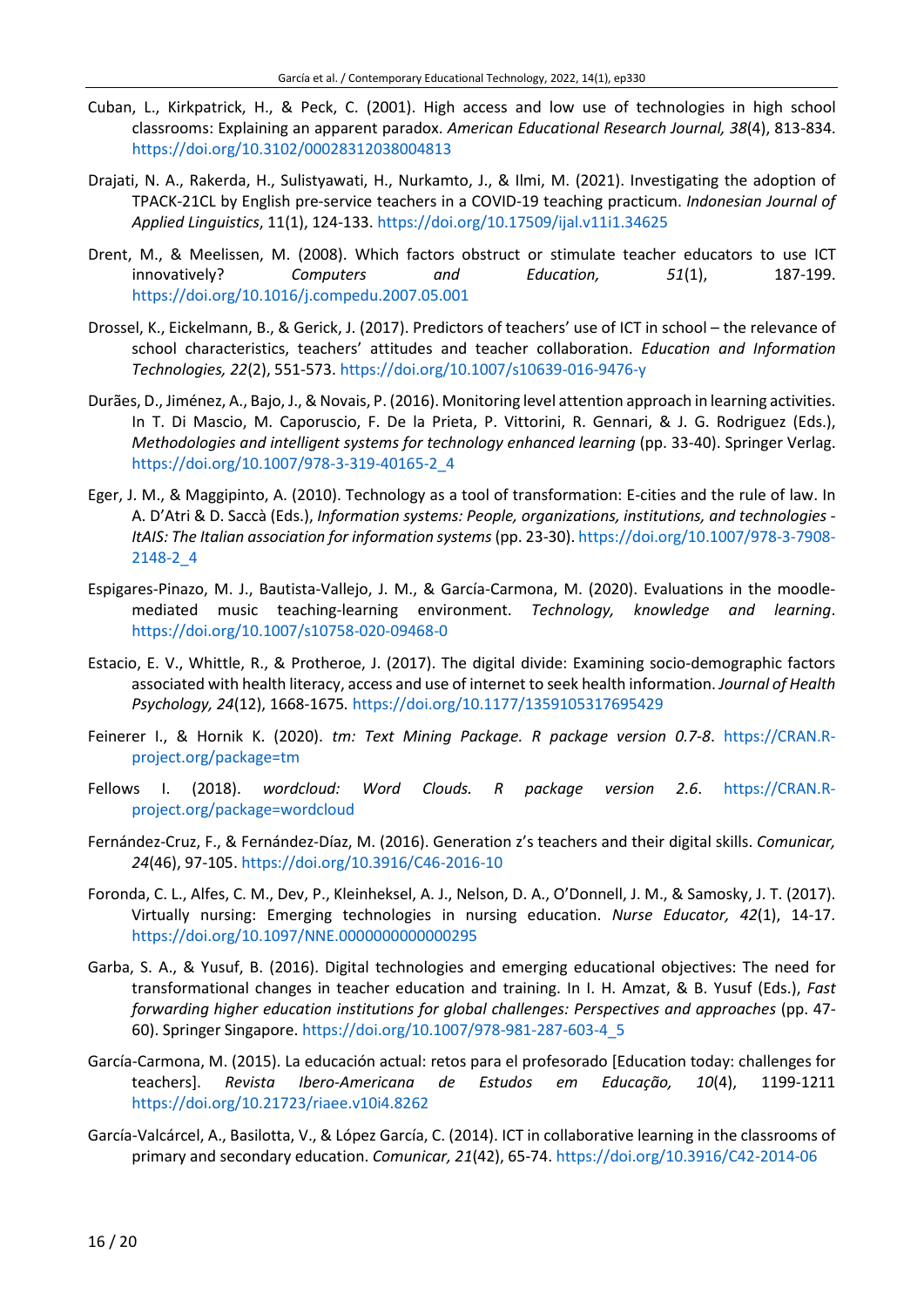- Cuban, L., Kirkpatrick, H., & Peck, C. (2001). High access and low use of technologies in high school classrooms: Explaining an apparent paradox. *American Educational Research Journal, 38*(4), 813-834. <https://doi.org/10.3102/00028312038004813>
- Drajati, N. A., Rakerda, H., Sulistyawati, H., Nurkamto, J., & Ilmi, M. (2021). Investigating the adoption of TPACK-21CL by English pre-service teachers in a COVID-19 teaching practicum. *Indonesian Journal of Applied Linguistics*, 11(1), 124-133. <https://doi.org/10.17509/ijal.v11i1.34625>
- Drent, M., & Meelissen, M. (2008). Which factors obstruct or stimulate teacher educators to use ICT innovatively? *Computers and Education, 51*(1), 187-199. <https://doi.org/10.1016/j.compedu.2007.05.001>
- Drossel, K., Eickelmann, B., & Gerick, J. (2017). Predictors of teachers' use of ICT in school the relevance of school characteristics, teachers' attitudes and teacher collaboration. *Education and Information Technologies, 22*(2), 551-573. <https://doi.org/10.1007/s10639-016-9476-y>
- Durães, D., Jiménez, A., Bajo, J., & Novais, P. (2016). Monitoring level attention approach in learning activities. In T. Di Mascio, M. Caporuscio, F. De la Prieta, P. Vittorini, R. Gennari, & J. G. Rodriguez (Eds.), *Methodologies and intelligent systems for technology enhanced learning* (pp. 33-40). Springer Verlag. [https://doi.org/10.1007/978-3-319-40165-2\\_4](https://doi.org/10.1007/978-3-319-40165-2_4)
- Eger, J. M., & Maggipinto, A. (2010). Technology as a tool of transformation: E-cities and the rule of law. In A. D'Atri & D. Saccà (Eds.), *Information systems: People, organizations, institutions, and technologies - ItAIS: The Italian association for information systems* (pp. 23-30). [https://doi.org/10.1007/978-3-7908-](https://doi.org/10.1007/978-3-7908-2148-2_4) [2148-2\\_4](https://doi.org/10.1007/978-3-7908-2148-2_4)
- Espigares-Pinazo, M. J., Bautista-Vallejo, J. M., & García-Carmona, M. (2020). Evaluations in the moodlemediated music teaching-learning environment. *Technology, knowledge and learning*. <https://doi.org/10.1007/s10758-020-09468-0>
- Estacio, E. V., Whittle, R., & Protheroe, J. (2017). The digital divide: Examining socio-demographic factors associated with health literacy, access and use of internet to seek health information. *Journal of Health Psychology, 24*(12), 1668-1675*.* <https://doi.org/10.1177/1359105317695429>
- Feinerer I., & Hornik K. (2020). *tm: Text Mining Package. R package version 0.7-8*. [https://CRAN.R](https://cran.r-project.org/package=tm)[project.org/package=tm](https://cran.r-project.org/package=tm)
- Fellows I. (2018). *wordcloud: Word Clouds. R package version 2.6*. [https://CRAN.R](https://cran.r-project.org/package=wordcloud)[project.org/package=wordcloud](https://cran.r-project.org/package=wordcloud)
- Fernández-Cruz, F., & Fernández-Díaz, M. (2016). Generation z's teachers and their digital skills. *Comunicar, 24*(46), 97-105. <https://doi.org/10.3916/C46-2016-10>
- Foronda, C. L., Alfes, C. M., Dev, P., Kleinheksel, A. J., Nelson, D. A., O'Donnell, J. M., & Samosky, J. T. (2017). Virtually nursing: Emerging technologies in nursing education. *Nurse Educator, 42*(1), 14-17. <https://doi.org/10.1097/NNE.0000000000000295>
- Garba, S. A., & Yusuf, B. (2016). Digital technologies and emerging educational objectives: The need for transformational changes in teacher education and training. In I. H. Amzat, & B. Yusuf (Eds.), *Fast forwarding higher education institutions for global challenges: Perspectives and approaches* (pp. 47- 60). Springer Singapore. [https://doi.org/10.1007/978-981-287-603-4\\_5](https://doi.org/10.1007/978-981-287-603-4_5)
- García-Carmona, M. (2015). La educación actual: retos para el profesorado [Education today: challenges for teachers]. *Revista Ibero-Americana de Estudos em Educação, 10*(4), 1199-1211 <https://doi.org/10.21723/riaee.v10i4.8262>
- García-Valcárcel, A., Basilotta, V., & López García, C. (2014). ICT in collaborative learning in the classrooms of primary and secondary education. *Comunicar, 21*(42), 65-74. <https://doi.org/10.3916/C42-2014-06>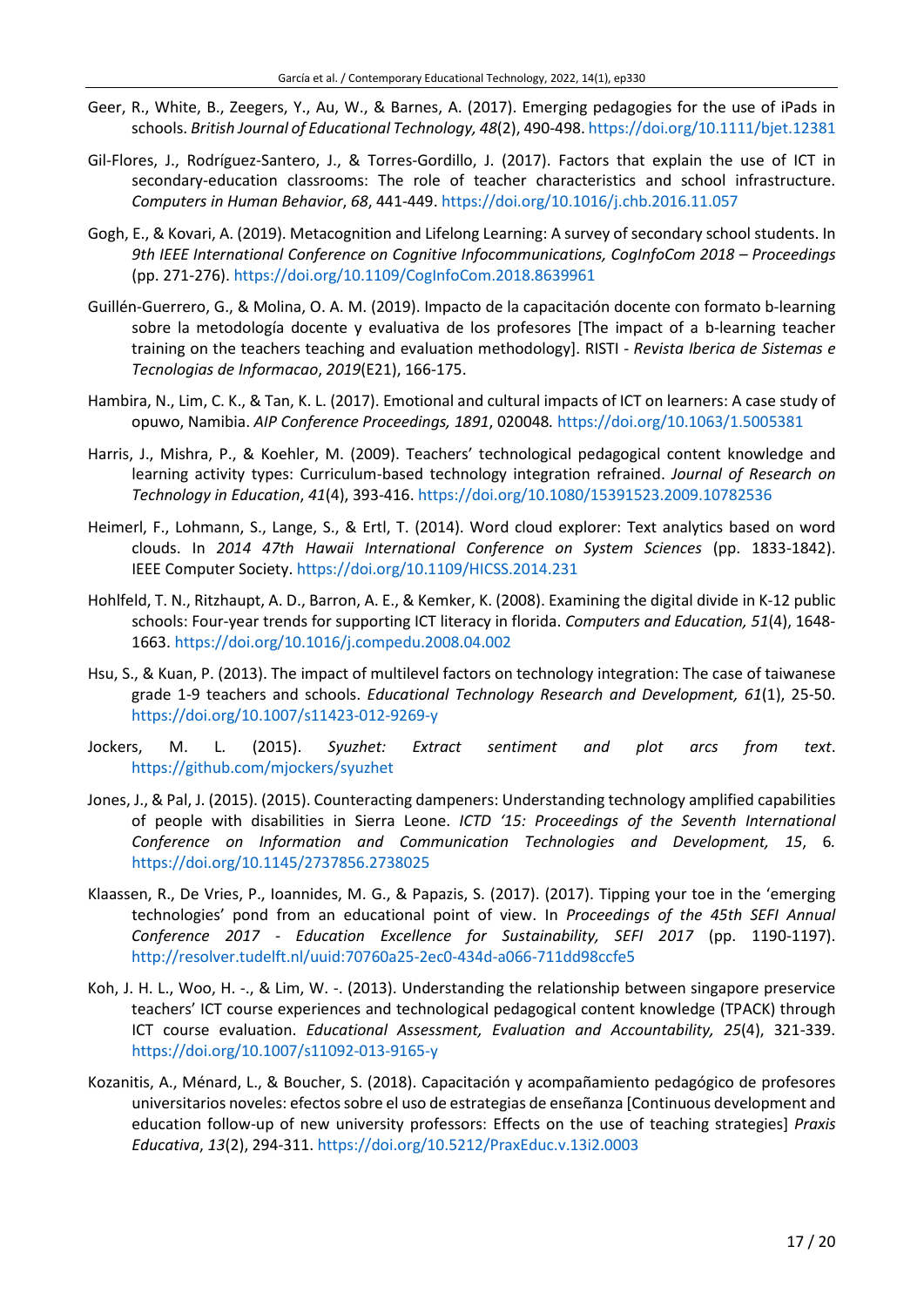- Geer, R., White, B., Zeegers, Y., Au, W., & Barnes, A. (2017). Emerging pedagogies for the use of iPads in schools. *British Journal of Educational Technology, 48*(2), 490-498. <https://doi.org/10.1111/bjet.12381>
- Gil-Flores, J., Rodríguez-Santero, J., & Torres-Gordillo, J. (2017). Factors that explain the use of ICT in secondary-education classrooms: The role of teacher characteristics and school infrastructure. *Computers in Human Behavior*, *68*, 441-449. <https://doi.org/10.1016/j.chb.2016.11.057>
- Gogh, E., & Kovari, A. (2019). Metacognition and Lifelong Learning: A survey of secondary school students. In *9th IEEE International Conference on Cognitive Infocommunications, CogInfoCom 2018 – Proceedings* (pp. 271-276). <https://doi.org/10.1109/CogInfoCom.2018.8639961>
- Guillén-Guerrero, G., & Molina, O. A. M. (2019). Impacto de la capacitación docente con formato b-learning sobre la metodología docente y evaluativa de los profesores [The impact of a b-learning teacher training on the teachers teaching and evaluation methodology]. RISTI - *Revista Iberica de Sistemas e Tecnologias de Informacao*, *2019*(E21), 166-175.
- Hambira, N., Lim, C. K., & Tan, K. L. (2017). Emotional and cultural impacts of ICT on learners: A case study of opuwo, Namibia. *AIP Conference Proceedings, 1891*, 020048*.* <https://doi.org/10.1063/1.5005381>
- Harris, J., Mishra, P., & Koehler, M. (2009). Teachers' technological pedagogical content knowledge and learning activity types: Curriculum-based technology integration refrained. *Journal of Research on Technology in Education*, *41*(4), 393-416. <https://doi.org/10.1080/15391523.2009.10782536>
- Heimerl, F., Lohmann, S., Lange, S., & Ertl, T. (2014). Word cloud explorer: Text analytics based on word clouds. In *2014 47th Hawaii International Conference on System Sciences* (pp. 1833-1842). IEEE Computer Society. <https://doi.org/10.1109/HICSS.2014.231>
- Hohlfeld, T. N., Ritzhaupt, A. D., Barron, A. E., & Kemker, K. (2008). Examining the digital divide in K-12 public schools: Four-year trends for supporting ICT literacy in florida. *Computers and Education, 51*(4), 1648- 1663. <https://doi.org/10.1016/j.compedu.2008.04.002>
- Hsu, S., & Kuan, P. (2013). The impact of multilevel factors on technology integration: The case of taiwanese grade 1-9 teachers and schools. *Educational Technology Research and Development, 61*(1), 25-50. <https://doi.org/10.1007/s11423-012-9269-y>
- Jockers, M. L. (2015). *Syuzhet: Extract sentiment and plot arcs from text*. <https://github.com/mjockers/syuzhet>
- Jones, J., & Pal, J. (2015). (2015). Counteracting dampeners: Understanding technology amplified capabilities of people with disabilities in Sierra Leone. *ICTD '15: Proceedings of the Seventh International Conference on Information and Communication Technologies and Development, 15*, 6*.* <https://doi.org/10.1145/2737856.2738025>
- Klaassen, R., De Vries, P., Ioannides, M. G., & Papazis, S. (2017). (2017). Tipping your toe in the 'emerging technologies' pond from an educational point of view. In *Proceedings of the 45th SEFI Annual Conference 2017 - Education Excellence for Sustainability, SEFI 2017* (pp. 1190-1197). <http://resolver.tudelft.nl/uuid:70760a25-2ec0-434d-a066-711dd98ccfe5>
- Koh, J. H. L., Woo, H. -., & Lim, W. -. (2013). Understanding the relationship between singapore preservice teachers' ICT course experiences and technological pedagogical content knowledge (TPACK) through ICT course evaluation. *Educational Assessment, Evaluation and Accountability, 25*(4), 321-339. <https://doi.org/10.1007/s11092-013-9165-y>
- Kozanitis, A., Ménard, L., & Boucher, S. (2018). Capacitación y acompañamiento pedagógico de profesores universitarios noveles: efectossobre el uso de estrategias de enseñanza [Continuous development and education follow-up of new university professors: Effects on the use of teaching strategies] *Praxis Educativa*, *13*(2), 294-311. <https://doi.org/10.5212/PraxEduc.v.13i2.0003>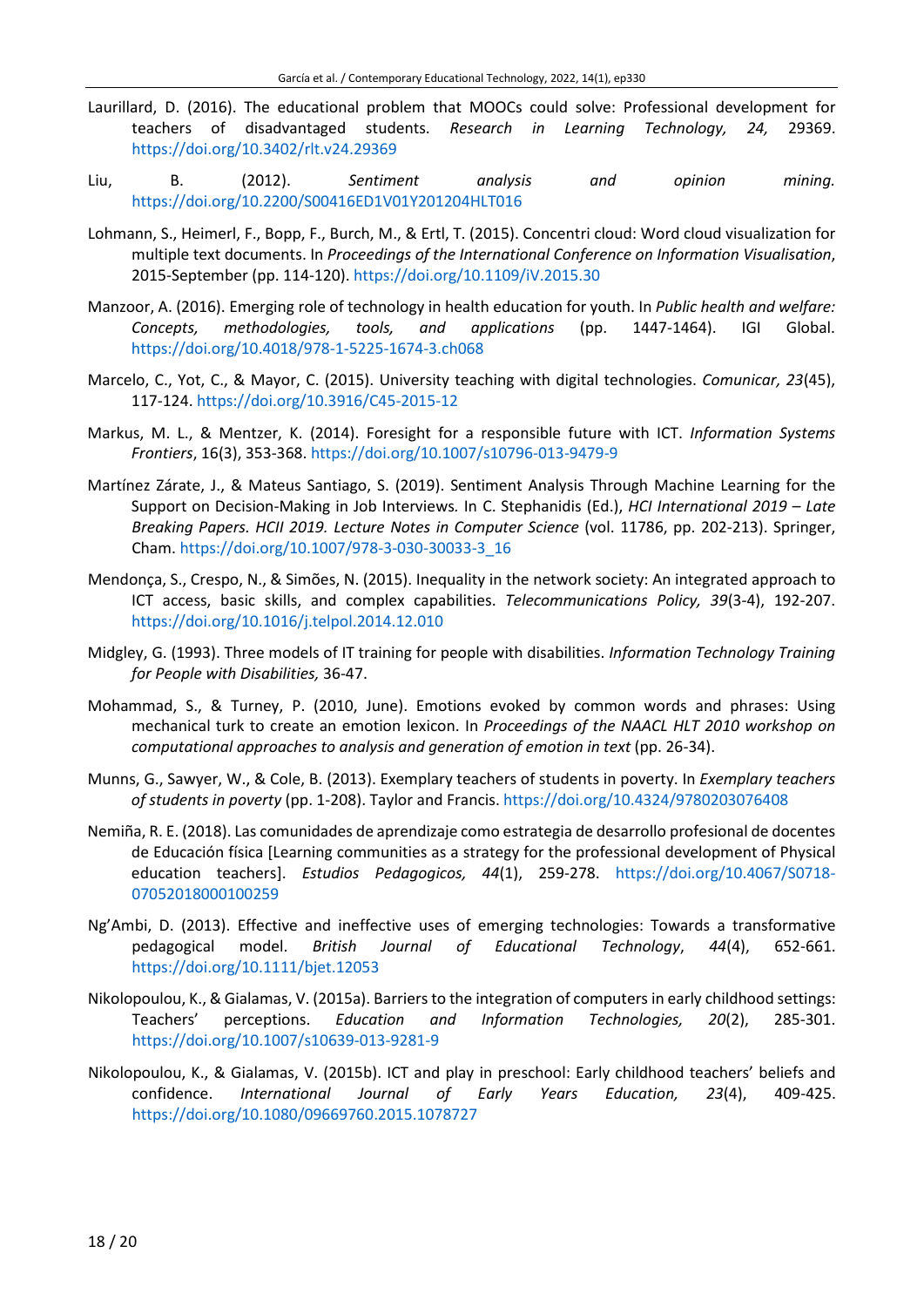- Laurillard, D. (2016). The educational problem that MOOCs could solve: Professional development for teachers of disadvantaged students. *Research in Learning Technology, 24,* 29369. <https://doi.org/10.3402/rlt.v24.29369>
- Liu, B. (2012). *Sentiment analysis and opinion mining.* <https://doi.org/10.2200/S00416ED1V01Y201204HLT016>
- Lohmann, S., Heimerl, F., Bopp, F., Burch, M., & Ertl, T. (2015). Concentri cloud: Word cloud visualization for multiple text documents. In *Proceedings of the International Conference on Information Visualisation*, 2015-September (pp. 114-120). <https://doi.org/10.1109/iV.2015.30>
- Manzoor, A. (2016). Emerging role of technology in health education for youth. In *Public health and welfare: Concepts, methodologies, tools, and applications* (pp. 1447-1464). IGI Global. <https://doi.org/10.4018/978-1-5225-1674-3.ch068>
- Marcelo, C., Yot, C., & Mayor, C. (2015). University teaching with digital technologies. *Comunicar, 23*(45), 117-124. <https://doi.org/10.3916/C45-2015-12>
- Markus, M. L., & Mentzer, K. (2014). Foresight for a responsible future with ICT. *Information Systems Frontiers*, 16(3), 353-368. <https://doi.org/10.1007/s10796-013-9479-9>
- Martínez Zárate, J., & Mateus Santiago, S. (2019). Sentiment Analysis Through Machine Learning for the Support on Decision-Making in Job Interviews*.* In C. Stephanidis (Ed.), *HCI International 2019 – Late Breaking Papers. HCII 2019. Lecture Notes in Computer Science* (vol. 11786, pp. 202-213). Springer, Cham. [https://doi.org/10.1007/978-3-030-30033-3\\_16](https://doi.org/10.1007/978-3-030-30033-3_16)
- Mendonça, S., Crespo, N., & Simões, N. (2015). Inequality in the network society: An integrated approach to ICT access, basic skills, and complex capabilities. *Telecommunications Policy, 39*(3-4), 192-207. <https://doi.org/10.1016/j.telpol.2014.12.010>
- Midgley, G. (1993). Three models of IT training for people with disabilities. *Information Technology Training for People with Disabilities,* 36-47.
- Mohammad, S., & Turney, P. (2010, June). Emotions evoked by common words and phrases: Using mechanical turk to create an emotion lexicon. In *Proceedings of the NAACL HLT 2010 workshop on computational approaches to analysis and generation of emotion in text* (pp. 26-34).
- Munns, G., Sawyer, W., & Cole, B. (2013). Exemplary teachers of students in poverty. In *Exemplary teachers of students in poverty* (pp. 1-208). Taylor and Francis. <https://doi.org/10.4324/9780203076408>
- Nemiña, R. E. (2018). Las comunidades de aprendizaje como estrategia de desarrollo profesional de docentes de Educación física [Learning communities as a strategy for the professional development of Physical education teachers]. *Estudios Pedagogicos, 44*(1), 259-278. [https://doi.org/10.4067/S0718-](https://doi.org/10.4067/S0718-07052018000100259) [07052018000100259](https://doi.org/10.4067/S0718-07052018000100259)
- Ng'Ambi, D. (2013). Effective and ineffective uses of emerging technologies: Towards a transformative pedagogical model. *British Journal of Educational Technology*, *44*(4), 652-661. <https://doi.org/10.1111/bjet.12053>
- Nikolopoulou, K., & Gialamas, V. (2015a). Barriersto the integration of computers in early childhood settings: Teachers' perceptions. *Education and Information Technologies, 20*(2), 285-301. <https://doi.org/10.1007/s10639-013-9281-9>
- Nikolopoulou, K., & Gialamas, V. (2015b). ICT and play in preschool: Early childhood teachers' beliefs and confidence. *International Journal of Early Years Education, 23*(4), 409-425. <https://doi.org/10.1080/09669760.2015.1078727>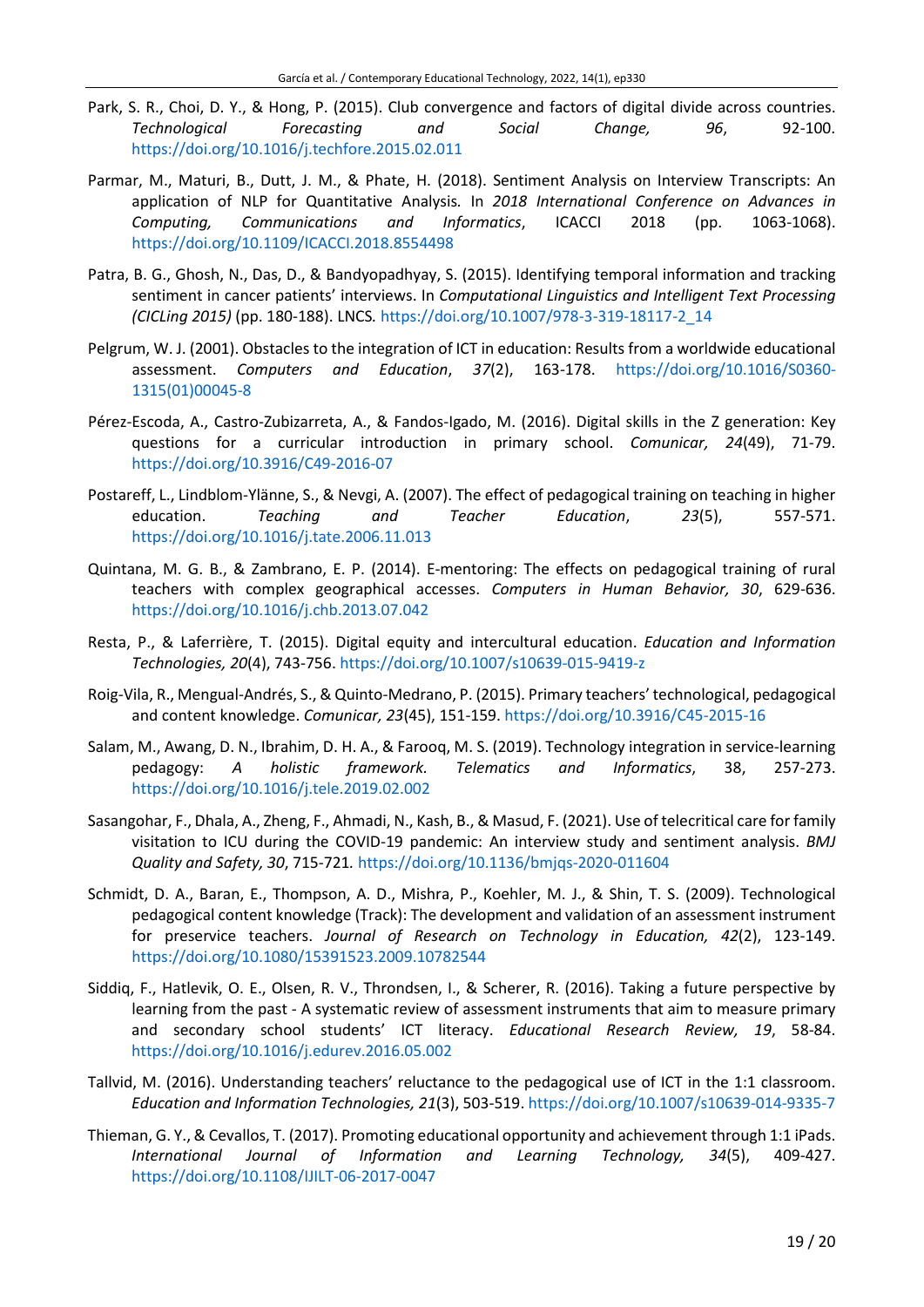- Park, S. R., Choi, D. Y., & Hong, P. (2015). Club convergence and factors of digital divide across countries. *Technological Forecasting and Social Change, 96*, 92-100. <https://doi.org/10.1016/j.techfore.2015.02.011>
- Parmar, M., Maturi, B., Dutt, J. M., & Phate, H. (2018). Sentiment Analysis on Interview Transcripts: An application of NLP for Quantitative Analysis*.* In *2018 International Conference on Advances in Computing, Communications and Informatics*, ICACCI 2018 (pp. 1063-1068). <https://doi.org/10.1109/ICACCI.2018.8554498>
- Patra, B. G., Ghosh, N., Das, D., & Bandyopadhyay, S. (2015). Identifying temporal information and tracking sentiment in cancer patients' interviews. In *Computational Linguistics and Intelligent Text Processing (CICLing 2015)* (pp. 180-188). LNCS*.* [https://doi.org/10.1007/978-3-319-18117-2\\_14](https://doi.org/10.1007/978-3-319-18117-2_14)
- Pelgrum, W. J. (2001). Obstacles to the integration of ICT in education: Results from a worldwide educational assessment. *Computers and Education*, *37*(2), 163-178. [https://doi.org/10.1016/S0360-](https://doi.org/10.1016/S0360-1315(01)00045-8) [1315\(01\)00045-8](https://doi.org/10.1016/S0360-1315(01)00045-8)
- Pérez-Escoda, A., Castro-Zubizarreta, A., & Fandos-Igado, M. (2016). Digital skills in the Z generation: Key questions for a curricular introduction in primary school. *Comunicar, 24*(49), 71-79. <https://doi.org/10.3916/C49-2016-07>
- Postareff, L., Lindblom-Ylänne, S., & Nevgi, A. (2007). The effect of pedagogical training on teaching in higher education. *Teaching and Teacher Education*, *23*(5), 557-571. <https://doi.org/10.1016/j.tate.2006.11.013>
- Quintana, M. G. B., & Zambrano, E. P. (2014). E-mentoring: The effects on pedagogical training of rural teachers with complex geographical accesses. *Computers in Human Behavior, 30*, 629-636. <https://doi.org/10.1016/j.chb.2013.07.042>
- Resta, P., & Laferrière, T. (2015). Digital equity and intercultural education. *Education and Information Technologies, 20*(4), 743-756. <https://doi.org/10.1007/s10639-015-9419-z>
- Roig-Vila, R., Mengual-Andrés, S., & Quinto-Medrano, P. (2015). Primary teachers' technological, pedagogical and content knowledge. *Comunicar, 23*(45), 151-159. <https://doi.org/10.3916/C45-2015-16>
- Salam, M., Awang, D. N., Ibrahim, D. H. A., & Farooq, M. S. (2019). Technology integration in service-learning pedagogy: *A holistic framework. Telematics and Informatics*, 38, 257-273. <https://doi.org/10.1016/j.tele.2019.02.002>
- Sasangohar, F., Dhala, A., Zheng, F., Ahmadi, N., Kash, B., & Masud, F. (2021). Use of telecritical care for family visitation to ICU during the COVID-19 pandemic: An interview study and sentiment analysis. *BMJ Quality and Safety, 30*, 715-721*.* <https://doi.org/10.1136/bmjqs-2020-011604>
- Schmidt, D. A., Baran, E., Thompson, A. D., Mishra, P., Koehler, M. J., & Shin, T. S. (2009). Technological pedagogical content knowledge (Track): The development and validation of an assessment instrument for preservice teachers. *Journal of Research on Technology in Education, 42*(2), 123-149. <https://doi.org/10.1080/15391523.2009.10782544>
- Siddiq, F., Hatlevik, O. E., Olsen, R. V., Throndsen, I., & Scherer, R. (2016). Taking a future perspective by learning from the past - A systematic review of assessment instruments that aim to measure primary and secondary school students' ICT literacy. *Educational Research Review, 19*, 58-84. <https://doi.org/10.1016/j.edurev.2016.05.002>
- Tallvid, M. (2016). Understanding teachers' reluctance to the pedagogical use of ICT in the 1:1 classroom. *Education and Information Technologies, 21*(3), 503-519. <https://doi.org/10.1007/s10639-014-9335-7>
- Thieman, G. Y., & Cevallos, T. (2017). Promoting educational opportunity and achievement through 1:1 iPads. *International Journal of Information and Learning Technology, 34*(5), 409-427. <https://doi.org/10.1108/IJILT-06-2017-0047>